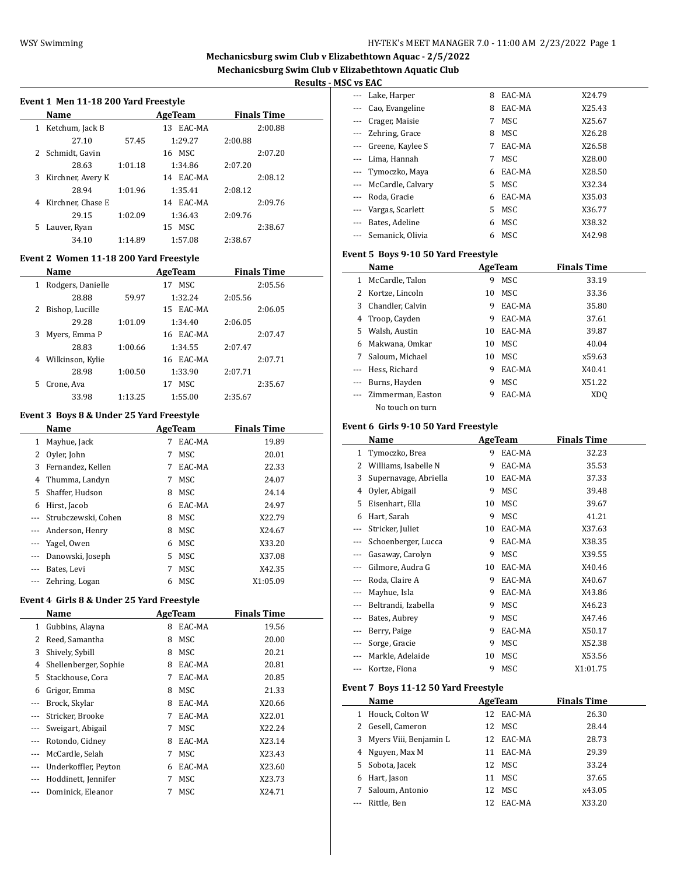# **Mechanicsburg swim Club v Elizabethtown Aquac - 2/5/2022 Mechanicsburg Swim Club v Elizabethtown Aquatic Club**

 $\overline{\phantom{0}}$ 

 $\overline{\phantom{a}}$ 

 $\overline{\phantom{a}}$ 

# **Results - MSC vs EAC**

#### **Event 1 Men 11-18 200 Yard Freestyle**

|    | <b>Name</b>       |         | AgeTeam      | <b>Finals Time</b> |
|----|-------------------|---------|--------------|--------------------|
| 1  | Ketchum, Jack B   |         | EAC-MA<br>13 | 2:00.88            |
|    | 27.10             | 57.45   | 1:29.27      | 2:00.88            |
|    | 2 Schmidt, Gavin  |         | 16 MSC       | 2:07.20            |
|    | 28.63             | 1:01.18 | 1:34.86      | 2:07.20            |
| 3  | Kirchner, Avery K |         | 14 EAC-MA    | 2:08.12            |
|    | 28.94             | 1:01.96 | 1:35.41      | 2:08.12            |
| 4  | Kirchner, Chase E |         | EAC-MA<br>14 | 2:09.76            |
|    | 29.15             | 1:02.09 | 1:36.43      | 2:09.76            |
| 5. | Lauver, Ryan      |         | MSC.<br>15   | 2:38.67            |
|    | 34.10             | 1:14.89 | 1:57.08      | 2:38.67            |

# **Event 2 Women 11-18 200 Yard Freestyle**

|    | <b>Name</b>       |         | AgeTeam      |         | <b>Finals Time</b> |
|----|-------------------|---------|--------------|---------|--------------------|
| 1  | Rodgers, Danielle |         | MSC.<br>17   |         | 2:05.56            |
|    | 28.88             | 59.97   | 1:32.24      | 2:05.56 |                    |
| 2  | Bishop, Lucille   |         | EAC-MA<br>15 |         | 2:06.05            |
|    | 29.28             | 1:01.09 | 1:34.40      | 2:06.05 |                    |
| 3  | Myers, Emma P     |         | 16 EAC-MA    |         | 2:07.47            |
|    | 28.83             | 1:00.66 | 1:34.55      | 2:07.47 |                    |
| 4  | Wilkinson, Kylie  |         | 16 EAC-MA    |         | 2:07.71            |
|    | 28.98             | 1:00.50 | 1:33.90      | 2:07.71 |                    |
| 5. | Crone, Ava        |         | MSC.<br>17   |         | 2:35.67            |
|    | 33.98             | 1:13.25 | 1:55.00      | 2:35.67 |                    |

#### **Event 3 Boys 8 & Under 25 Yard Freestyle**

|          | Name                |    | AgeTeam    | <b>Finals Time</b> |  |
|----------|---------------------|----|------------|--------------------|--|
| 1        | Mayhue, Jack        | 7  | EAC-MA     | 19.89              |  |
| 2        | Oyler, John         | 7  | MSC        | 20.01              |  |
| 3        | Fernandez, Kellen   |    | EAC-MA     | 22.33              |  |
| 4        | Thumma, Landyn      | 7  | MSC        | 24.07              |  |
| 5        | Shaffer, Hudson     | 8  | MSC        | 24.14              |  |
| 6        | Hirst, Jacob        | 6  | EAC-MA     | 24.97              |  |
|          | Strubczewski, Cohen | 8  | MSC        | X22.79             |  |
|          | Anderson, Henry     | 8  | MSC        | X24.67             |  |
| $\cdots$ | Yagel, Owen         | 6  | MSC        | X33.20             |  |
| $\cdots$ | Danowski, Joseph    | 5. | MSC        | X37.08             |  |
|          | Bates, Levi         | 7  | MSC        | X42.35             |  |
|          | Zehring, Logan      | 6  | <b>MSC</b> | X1:05.09           |  |

## **Event 4 Girls 8 & Under 25 Yard Freestyle**

|       | Name                  |   | <b>AgeTeam</b> | <b>Finals Time</b> |  |
|-------|-----------------------|---|----------------|--------------------|--|
| 1     | Gubbins, Alayna       | 8 | EAC-MA         | 19.56              |  |
| 2     | Reed, Samantha        | 8 | MSC            | 20.00              |  |
| 3     | Shively, Sybill       | 8 | MSC            | 20.21              |  |
| 4     | Shellenberger, Sophie | 8 | EAC-MA         | 20.81              |  |
| 5.    | Stackhouse, Cora      | 7 | EAC-MA         | 20.85              |  |
| 6     | Grigor, Emma          | 8 | MSC            | 21.33              |  |
|       | Brock, Skylar         | 8 | EAC-MA         | X20.66             |  |
|       | Stricker, Brooke      | 7 | EAC-MA         | X22.01             |  |
|       | Sweigart, Abigail     | 7 | MSC            | X22.24             |  |
| $---$ | Rotondo, Cidney       | 8 | EAC-MA         | X23.14             |  |
|       | McCardle, Selah       | 7 | MSC            | X23.43             |  |
|       | Underkoffler, Peyton  | 6 | EAC-MA         | X23.60             |  |
|       | Hoddinett, Jennifer   | 7 | MSC            | X23.73             |  |
|       | Dominick, Eleanor     |   | MSC            | X24.71             |  |

| --- Lake, Harper            | 8  | EAC-MA | X24.79 |
|-----------------------------|----|--------|--------|
| Cao, Evangeline<br>$\cdots$ | 8  | EAC-MA | X25.43 |
| Crager, Maisie<br>$\cdots$  | 7  | MSC.   | X25.67 |
| --- Zehring, Grace          | 8  | MSC.   | X26.28 |
| --- Greene, Kaylee S        | 7  | EAC-MA | X26.58 |
| --- Lima, Hannah            | 7  | MSC.   | X28.00 |
| --- Tymoczko, Maya          | 6  | EAC-MA | X28.50 |
| --- McCardle, Calvary       | 5. | MSC    | X32.34 |
| Roda, Gracie                | 6  | EAC-MA | X35.03 |
| Vargas, Scarlett            | 5. | MSC    | X36.77 |
| Bates, Adeline              | 6  | MSC    | X38.32 |
| --- Semanick, Olivia        | 6  | MSC    | X42.98 |

#### **Event 5 Boys 9-10 50 Yard Freestyle**

|    | Name              |    | AgeTeam    | <b>Finals Time</b> |  |
|----|-------------------|----|------------|--------------------|--|
| 1  | McCardle, Talon   | 9  | <b>MSC</b> | 33.19              |  |
|    | Kortze, Lincoln   | 10 | MSC.       | 33.36              |  |
| 3  | Chandler, Calvin  | 9  | EAC-MA     | 35.80              |  |
| 4  | Troop, Cayden     | 9  | EAC-MA     | 37.61              |  |
| 5. | Walsh, Austin     | 10 | EAC-MA     | 39.87              |  |
| 6  | Makwana, Omkar    | 10 | MSC.       | 40.04              |  |
| 7  | Saloum. Michael   | 10 | MSC        | x59.63             |  |
|    | Hess. Richard     | 9  | EAC-MA     | X40.41             |  |
|    | Burns, Hayden     | 9  | MSC        | X51.22             |  |
|    | Zimmerman, Easton | 9  | EAC-MA     | XD <sub>O</sub>    |  |
|    | No touch on turn  |    |            |                    |  |

#### **Event 6 Girls 9-10 50 Yard Freestyle**

|       | Name                  |    | AgeTeam | Finals Time |  |
|-------|-----------------------|----|---------|-------------|--|
| 1     | Tymoczko, Brea        | 9  | EAC-MA  | 32.23       |  |
| 2     | Williams, Isabelle N  | 9  | EAC-MA  | 35.53       |  |
| 3     | Supernavage, Abriella | 10 | EAC-MA  | 37.33       |  |
| 4     | Oyler, Abigail        | 9  | MSC     | 39.48       |  |
| 5     | Eisenhart, Ella       | 10 | MSC     | 39.67       |  |
| 6     | Hart, Sarah           | 9  | MSC     | 41.21       |  |
| $---$ | Stricker, Juliet      | 10 | EAC-MA  | X37.63      |  |
|       | Schoenberger, Lucca   | 9  | EAC-MA  | X38.35      |  |
|       | Gasaway, Carolyn      | 9  | MSC     | X39.55      |  |
|       | Gilmore, Audra G      | 10 | EAC-MA  | X40.46      |  |
|       | Roda, Claire A        | 9  | EAC-MA  | X40.67      |  |
| ---   | Mayhue, Isla          | 9  | EAC-MA  | X43.86      |  |
| $---$ | Beltrandi, Izabella   | 9  | MSC     | X46.23      |  |
| $---$ | Bates, Aubrey         | 9  | MSC     | X47.46      |  |
| ---   | Berry, Paige          | 9  | EAC-MA  | X50.17      |  |
| ---   | Sorge, Gracie         | 9  | MSC     | X52.38      |  |
|       | Markle, Adelaide      | 10 | MSC     | X53.56      |  |
| ---   | Kortze, Fiona         | 9  | MSC     | X1:01.75    |  |

#### **Event 7 Boys 11-12 50 Yard Freestyle**

|   | Name                     | AgeTeam |           | <b>Finals Time</b> |
|---|--------------------------|---------|-----------|--------------------|
| 1 | Houck, Colton W          |         | 12 EAC-MA | 26.30              |
|   | 2 Gesell, Cameron        |         | 12 MSC    | 28.44              |
|   | 3 Myers Viii, Benjamin L |         | 12 EAC-MA | 28.73              |
| 4 | Nguyen, Max M            | 11      | EAC-MA    | 29.39              |
|   | 5 Sobota, Jacek          |         | 12 MSC    | 33.24              |
| 6 | Hart, Jason              | 11      | MSC       | 37.65              |
| 7 | Saloum, Antonio          | 12      | MSC       | x43.05             |
|   | Rittle, Ben              | 12.     | EAC-MA    | X33.20             |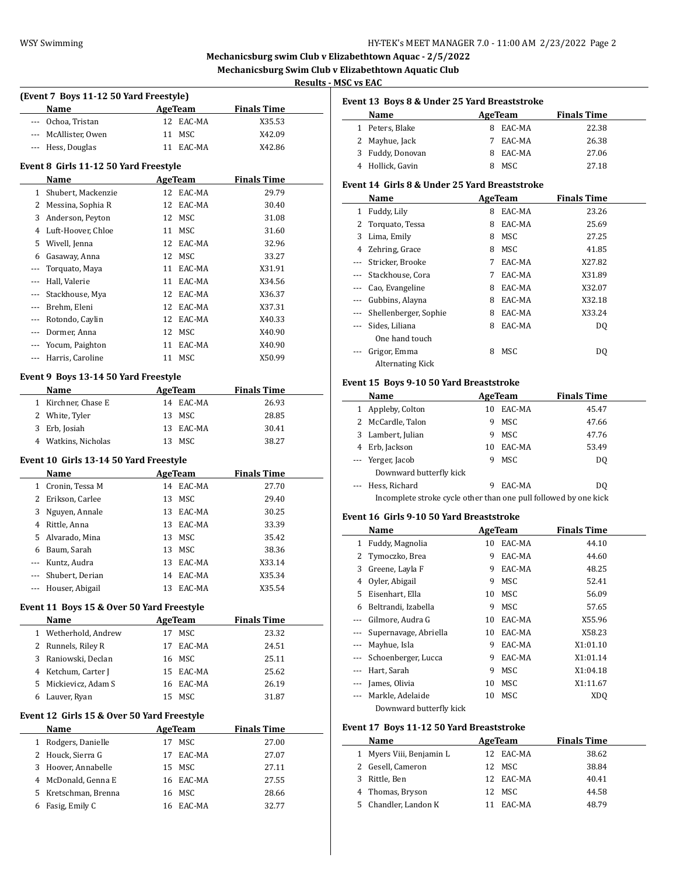L,

L,

 $\overline{\phantom{0}}$ 

# WSY Swimming WSY Swimming HY-TEK's MEET MANAGER 7.0 - 11:00 AM 2/23/2022 Page 2

# **Mechanicsburg swim Club v Elizabethtown Aquac - 2/5/2022 Mechanicsburg Swim Club v Elizabethtown Aquatic Club**

**rs** EAC

|       |                                                   |                      |                              | Results - MSC v |
|-------|---------------------------------------------------|----------------------|------------------------------|-----------------|
|       | (Event 7 Boys 11-12 50 Yard Freestyle)            |                      |                              | Eve             |
| --- 1 | Name<br>Ochoa, Tristan                            | AgeTeam<br>12 EAC-MA | <b>Finals Time</b><br>X35.53 |                 |
|       | --- McAllister, Owen                              | <b>MSC</b><br>11     | X42.09                       |                 |
|       | --- Hess, Douglas                                 | 11 EAC-MA            | X42.86                       |                 |
|       |                                                   |                      |                              |                 |
|       | Event 8 Girls 11-12 50 Yard Freestyle             |                      |                              |                 |
|       | Name                                              | <b>AgeTeam</b>       | <b>Finals Time</b>           | Eve             |
|       | 1 Shubert, Mackenzie                              | 12 EAC-MA            | 29.79                        |                 |
|       | 2 Messina, Sophia R                               | 12 EAC-MA<br>12 MSC  | 30.40                        |                 |
|       | 3 Anderson, Peyton                                | 11 MSC               | 31.08                        |                 |
|       | 4 Luft-Hoover, Chloe                              | 12 EAC-MA            | 31.60<br>32.96               |                 |
|       | 5 Wivell, Jenna<br>6 Gasaway, Anna                | 12 MSC               | 33.27                        |                 |
| $---$ | Torquato, Maya                                    | 11 EAC-MA            | X31.91                       |                 |
| ---   | Hall, Valerie                                     | 11 EAC-MA            | X34.56                       |                 |
|       | Stackhouse, Mya                                   | 12 EAC-MA            | X36.37                       |                 |
| ---   | --- Brehm, Eleni                                  | 12 EAC-MA            | X37.31                       |                 |
|       | --- Rotondo, Caylin                               | 12 EAC-MA            |                              |                 |
|       | --- Dormer, Anna                                  | 12 MSC               | X40.33<br>X40.90             |                 |
|       | --- Yocum, Paighton                               | 11 EAC-MA            |                              |                 |
|       |                                                   | 11 MSC               | X40.90<br>X50.99             |                 |
|       | --- Harris, Caroline                              |                      |                              |                 |
|       | Event 9 Boys 13-14 50 Yard Freestyle              |                      |                              | Eve             |
|       | Name                                              | <b>AgeTeam</b>       | <b>Finals Time</b>           |                 |
|       | 1 Kirchner, Chase E                               | 14 EAC-MA            | 26.93                        |                 |
|       | 2 White, Tyler                                    | 13 MSC               | 28.85                        |                 |
|       |                                                   |                      |                              |                 |
|       | 3 Erb, Josiah                                     | 13 EAC-MA            | 30.41                        |                 |
|       | 4 Watkins, Nicholas                               | 13 MSC               | 38.27                        |                 |
|       | Event 10 Girls 13-14 50 Yard Freestyle            |                      |                              |                 |
|       | Name                                              | AgeTeam              | <b>Finals Time</b>           |                 |
|       | 1 Cronin, Tessa M                                 | 14 EAC-MA            | 27.70                        |                 |
|       | 2 Erikson, Carlee                                 | 13 MSC               | 29.40                        |                 |
|       | 3 Nguyen, Annale                                  | 13 EAC-MA            | 30.25                        |                 |
|       | 4 Rittle, Anna                                    | 13 EAC-MA            | 33.39                        | Eve             |
|       | 5 Alvarado, Mina                                  | 13 MSC               | 35.42                        |                 |
|       | 6 Baum, Sarah                                     | 13 MSC               | 38.36                        |                 |
| ---   | Kuntz, Audra                                      | 13 EAC-MA            | X33.14                       |                 |
|       | Shubert, Derian                                   | 14 EAC-MA            | X35.34                       |                 |
|       | Houser, Abigail                                   | 13 EAC-MA            | X35.54                       |                 |
|       |                                                   |                      |                              |                 |
|       | Event 11 Boys 15 & Over 50 Yard Freestyle<br>Name | <b>AgeTeam</b>       | <b>Finals Time</b>           |                 |
| $1\,$ | Wetherhold, Andrew                                | <b>MSC</b><br>17     | 23.32                        |                 |
|       | 2 Runnels, Riley R                                | 17<br>EAC-MA         | 24.51                        |                 |
|       | 3 Raniowski, Declan                               | 16 MSC               | 25.11                        |                 |
|       | 4 Ketchum, Carter J                               | 15 EAC-MA            | 25.62                        |                 |
|       | 5 Mickievicz, Adam S                              | 16 EAC-MA            | 26.19                        |                 |
|       | 6 Lauver, Ryan                                    | 15 MSC               | 31.87                        |                 |
|       |                                                   |                      |                              |                 |
|       | Event 12 Girls 15 & Over 50 Yard Freestyle        |                      |                              |                 |
|       | Name                                              | <b>AgeTeam</b>       | <b>Finals Time</b>           | Eve             |
|       | 1 Rodgers, Danielle                               | 17 MSC               | 27.00                        |                 |
|       | 2 Houck, Sierra G                                 | 17 EAC-MA            | 27.07                        |                 |
|       | 3 Hoover, Annabelle                               | 15 MSC               | 27.11                        |                 |
| 5     | 4 McDonald, Genna E<br>Kretschman, Brenna         | 16 EAC-MA<br>16 MSC  | 27.55<br>28.66               |                 |

|     | Event 13  Boys 8 & Under 25 Yard Breaststroke                    |    |                |                    |  |
|-----|------------------------------------------------------------------|----|----------------|--------------------|--|
|     | Name                                                             |    | <b>AgeTeam</b> | <b>Finals Time</b> |  |
|     | 1 Peters, Blake                                                  | 8  | EAC-MA         | 22.38              |  |
| 2   | Mayhue, Jack                                                     | 7  | EAC-MA         | 26.38              |  |
| 3   | Fuddy, Donovan                                                   |    | 8 EAC-MA       | 27.06              |  |
|     | 4 Hollick, Gavin                                                 | 8  | MSC            | 27.18              |  |
|     | Event 14  Girls 8 & Under 25 Yard Breaststroke                   |    |                |                    |  |
|     | Name                                                             |    | <b>AgeTeam</b> | <b>Finals Time</b> |  |
| 1   | Fuddy, Lily                                                      |    | 8 EAC-MA       | 23.26              |  |
| 2   | Torquato, Tessa                                                  | 8  | EAC-MA         | 25.69              |  |
| 3   | Lima, Emily                                                      |    | 8 MSC          | 27.25              |  |
|     | 4 Zehring, Grace                                                 |    | 8 MSC          | 41.85              |  |
|     | --- Stricker, Brooke                                             |    | 7 EAC-MA       | X27.82             |  |
|     | --- Stackhouse, Cora                                             |    | 7 EAC-MA       | X31.89             |  |
| --- | Cao, Evangeline                                                  |    | 8 EAC-MA       | X32.07             |  |
| --- | Gubbins, Alayna                                                  |    | 8 EAC-MA       | X32.18             |  |
| --- | Shellenberger, Sophie                                            |    | 8 EAC-MA       | X33.24             |  |
| --- | Sides, Liliana                                                   |    | 8 EAC-MA       | DQ                 |  |
|     | One hand touch                                                   |    |                |                    |  |
| --- | Grigor, Emma                                                     | 8  | MSC            | DQ                 |  |
|     | <b>Alternating Kick</b>                                          |    |                |                    |  |
|     |                                                                  |    |                |                    |  |
|     | Event 15 Boys 9-10 50 Yard Breaststroke                          |    |                |                    |  |
|     | Name                                                             |    | <b>AgeTeam</b> | <b>Finals Time</b> |  |
|     | 1 Appleby, Colton                                                |    | 10 EAC-MA      | 45.47              |  |
|     | 2 McCardle, Talon                                                |    | 9 MSC          | 47.66              |  |
| 3   | Lambert, Julian                                                  |    | 9 MSC          | 47.76              |  |
|     | 4 Erb, Jackson                                                   |    | 10 EAC-MA      | 53.49              |  |
| --- | Yerger, Jacob                                                    | 9  | MSC            | DQ                 |  |
|     | Downward butterfly kick                                          |    |                |                    |  |
| --- | Hess, Richard                                                    | 9  | EAC-MA         | DQ                 |  |
|     | Incomplete stroke cycle other than one pull followed by one kick |    |                |                    |  |
|     | Event 16  Girls 9-10 50 Yard Breaststroke                        |    |                |                    |  |
|     | Name                                                             |    | AgeTeam        | <b>Finals Time</b> |  |
|     | 1 Fuddy, Magnolia                                                |    | 10 EAC-MA      | 44.10              |  |
| 2   | Tymoczko, Brea                                                   | 9  | EAC-MA         | 44.60              |  |
| 3   | Greene, Layla F                                                  | 9  | EAC-MA         | 48.25              |  |
| 4   | Oyler, Abigail                                                   | 9  | MSC            | 52.41              |  |
| 5   | Eisenhart, Ella                                                  | 10 | MSC            | 56.09              |  |
| 6   | Beltrandi, Izabella                                              | 9  | MSC            | 57.65              |  |
| --- | Gilmore, Audra G                                                 | 10 | EAC-MA         | X55.96             |  |
| --- | Supernavage, Abriella                                            | 10 | EAC-MA         | X58.23             |  |
| --- | Mayhue, Isla                                                     | 9  | EAC-MA         | X1:01.10           |  |
| --- | Schoenberger, Lucca                                              | 9  | EAC-MA         | X1:01.14           |  |
| --- | Hart, Sarah                                                      | 9  | MSC            | X1:04.18           |  |
| --- | James, Olivia                                                    | 10 | MSC            | X1:11.67           |  |
| --- | Markle, Adelaide                                                 | 10 | MSC            | XDQ                |  |
|     | Downward butterfly kick                                          |    |                |                    |  |
|     |                                                                  |    |                |                    |  |
|     | Event 17 Boys 11-12 50 Yard Breaststroke                         |    |                |                    |  |
|     | <b>Name</b>                                                      |    | <b>AgeTeam</b> | <b>Finals Time</b> |  |

|   | Name                     | AgeTeam   | <b>Finals Time</b> |       |  |
|---|--------------------------|-----------|--------------------|-------|--|
|   | 1 Myers Viii, Benjamin L | 12 EAC-MA |                    | 38.62 |  |
|   | 2 Gesell, Cameron        | 12 MSC    |                    | 38.84 |  |
| 3 | Rittle, Ben              | 12 EAC-MA |                    | 40.41 |  |
|   | 4 Thomas, Bryson         | 12 MSC    |                    | 44.58 |  |
|   | 5 Chandler, Landon K     | EAC-MA    |                    | 48.79 |  |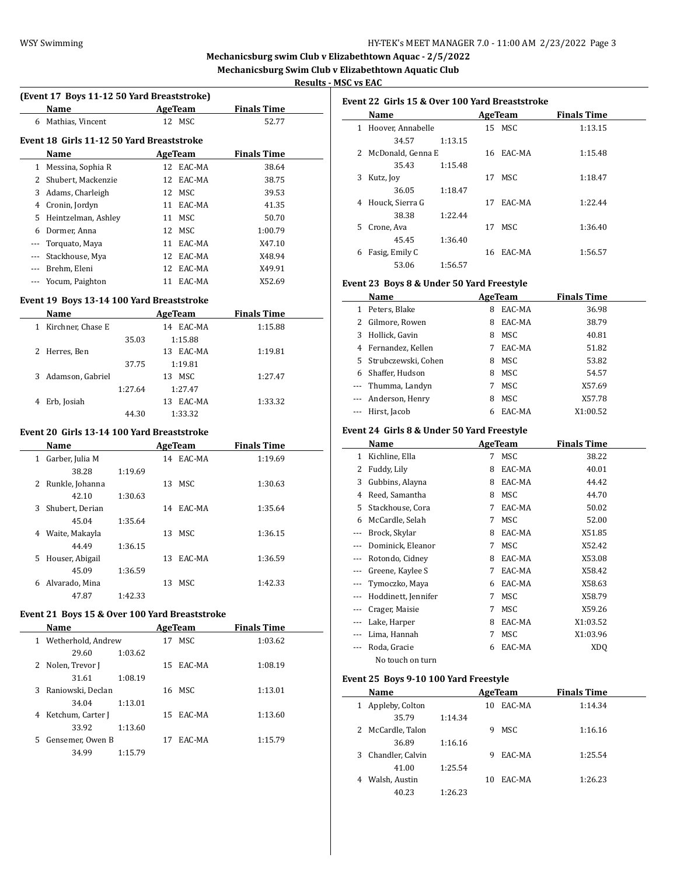$\overline{a}$ 

 $\overline{a}$ 

# **Mechanicsburg swim Club v Elizabethtown Aquac - 2/5/2022 Mechanicsburg Swim Club v Elizabethtown Aquatic Club**

**Results - MSC vs EAC**

 $\sim$ 

# **(Event 17 Boys 11-12 50 Yard Breaststroke)**

| (EVEIL 17 DOYS 11-12 30 TALU DI CASISLIONE) |                                           |    |           |                    |  |  |
|---------------------------------------------|-------------------------------------------|----|-----------|--------------------|--|--|
|                                             | Name                                      |    | AgeTeam   | <b>Finals Time</b> |  |  |
| 6                                           | Mathias, Vincent                          |    | 12 MSC    | 52.77              |  |  |
|                                             | Event 18 Girls 11-12 50 Yard Breaststroke |    |           |                    |  |  |
|                                             | Name                                      |    | AgeTeam   | <b>Finals Time</b> |  |  |
| 1                                           | Messina, Sophia R                         |    | 12 EAC-MA | 38.64              |  |  |
| 2                                           | Shubert, Mackenzie                        |    | 12 EAC-MA | 38.75              |  |  |
| 3                                           | Adams, Charleigh                          | 12 | MSC       | 39.53              |  |  |
| 4                                           | Cronin, Jordyn                            | 11 | EAC-MA    | 41.35              |  |  |
| 5                                           | Heintzelman, Ashley                       | 11 | MSC       | 50.70              |  |  |
| 6                                           | Dormer, Anna                              | 12 | MSC       | 1:00.79            |  |  |
|                                             | Torquato, Maya                            | 11 | EAC-MA    | X47.10             |  |  |
|                                             | Stackhouse, Mya                           | 12 | EAC-MA    | X48.94             |  |  |
|                                             | Brehm, Eleni                              | 12 | EAC-MA    | X49.91             |  |  |
|                                             | Yocum, Paighton                           | 11 | EAC-MA    | X52.69             |  |  |

#### **Event 19 Boys 13-14 100 Yard Breaststroke**

| Name                   |         | AgeTeam      | <b>Finals Time</b> |
|------------------------|---------|--------------|--------------------|
| Kirchner, Chase E<br>1 |         | EAC-MA<br>14 | 1:15.88            |
|                        | 35.03   | 1:15.88      |                    |
| 2 Herres, Ben          |         | EAC-MA<br>13 | 1:19.81            |
|                        | 37.75   | 1:19.81      |                    |
| Adamson, Gabriel<br>3  |         | MSC.<br>13   | 1:27.47            |
|                        | 1:27.64 | 1:27.47      |                    |
| Erb, Josiah<br>4       |         | EAC-MA<br>13 | 1:33.32            |
|                        | 44.30   | 1:33.32      |                    |

## **Event 20 Girls 13-14 100 Yard Breaststroke**

|    | Name            |         |    | AgeTeam | <b>Finals Time</b> |  |
|----|-----------------|---------|----|---------|--------------------|--|
| 1  | Garber, Julia M |         | 14 | EAC-MA  | 1:19.69            |  |
|    | 38.28           | 1:19.69 |    |         |                    |  |
| 2  | Runkle, Johanna |         | 13 | MSC.    | 1:30.63            |  |
|    | 42.10           | 1:30.63 |    |         |                    |  |
| 3  | Shubert, Derian |         | 14 | EAC-MA  | 1:35.64            |  |
|    | 45.04           | 1:35.64 |    |         |                    |  |
| 4  | Waite, Makayla  |         | 13 | MSC.    | 1:36.15            |  |
|    | 44.49           | 1:36.15 |    |         |                    |  |
| 5. | Houser, Abigail |         | 13 | EAC-MA  | 1:36.59            |  |
|    | 45.09           | 1:36.59 |    |         |                    |  |
| 6  | Alvarado, Mina  |         | 13 | MSC.    | 1:42.33            |  |
|    | 47.87           | 1:42.33 |    |         |                    |  |

# **Event 21 Boys 15 & Over 100 Yard Breaststroke**

|   | Name               |         |    | AgeTeam   | <b>Finals Time</b> |  |
|---|--------------------|---------|----|-----------|--------------------|--|
|   | Wetherhold, Andrew |         | 17 | MSC.      | 1:03.62            |  |
|   | 29.60              | 1:03.62 |    |           |                    |  |
| 2 | Nolen, Trevor J    |         | 15 | EAC-MA    | 1:08.19            |  |
|   | 31.61              | 1:08.19 |    |           |                    |  |
| 3 | Raniowski, Declan  |         | 16 | MSC.      | 1:13.01            |  |
|   | 34.04              | 1:13.01 |    |           |                    |  |
| 4 | Ketchum, Carter J  |         |    | 15 EAC-MA | 1:13.60            |  |
|   | 33.92              | 1:13.60 |    |           |                    |  |
| 5 | Gensemer, Owen B   |         | 17 | EAC-MA    | 1:15.79            |  |
|   | 34.99              | 1:15.79 |    |           |                    |  |
|   |                    |         |    |           |                    |  |

|              | Event 22 Girls 15 & Over 100 Yard Breaststroke |         |    |           |                    |  |  |  |  |
|--------------|------------------------------------------------|---------|----|-----------|--------------------|--|--|--|--|
|              | Name                                           |         |    | AgeTeam   | <b>Finals Time</b> |  |  |  |  |
| $\mathbf{1}$ | Hoover, Annabelle                              |         |    | 15 MSC    | 1:13.15            |  |  |  |  |
|              | 34.57                                          | 1:13.15 |    |           |                    |  |  |  |  |
|              | 2 McDonald, Genna E                            |         |    | 16 EAC-MA | 1:15.48            |  |  |  |  |
|              | 35.43                                          | 1:15.48 |    |           |                    |  |  |  |  |
| 3            | Kutz, Joy                                      |         |    | 17 MSC    | 1:18.47            |  |  |  |  |
|              | 36.05                                          | 1:18.47 |    |           |                    |  |  |  |  |
| 4            | Houck, Sierra G                                |         | 17 | EAC-MA    | 1:22.44            |  |  |  |  |
|              | 38.38                                          | 1:22.44 |    |           |                    |  |  |  |  |
| 5.           | Crone, Ava                                     |         | 17 | MSC.      | 1:36.40            |  |  |  |  |
|              | 45.45                                          | 1:36.40 |    |           |                    |  |  |  |  |
| 6            | Fasig, Emily C                                 |         | 16 | EAC-MA    | 1:56.57            |  |  |  |  |
|              | 53.06                                          | 1:56.57 |    |           |                    |  |  |  |  |

#### **Event 23 Boys 8 & Under 50 Yard Freestyle**

|   | Name                  |   | AgeTeam | <b>Finals Time</b> |  |
|---|-----------------------|---|---------|--------------------|--|
|   | Peters, Blake         | 8 | EAC-MA  | 36.98              |  |
|   | Gilmore, Rowen        | 8 | EAC-MA  | 38.79              |  |
| 3 | Hollick, Gavin        | 8 | MSC     | 40.81              |  |
| 4 | Fernandez, Kellen     | 7 | EAC-MA  | 51.82              |  |
|   | 5 Strubczewski, Cohen | 8 | MSC     | 53.82              |  |
| 6 | Shaffer, Hudson       | 8 | MSC     | 54.57              |  |
|   | --- Thumma, Landyn    | 7 | MSC     | X57.69             |  |
|   | --- Anderson, Henry   | 8 | MSC     | X57.78             |  |
|   | --- Hirst, Jacob      | 6 | EAC-MA  | X1:00.52           |  |

# **Event 24 Girls 8 & Under 50 Yard Freestyle**

|     | Name                |   | <b>AgeTeam</b> | Finals Time     |  |
|-----|---------------------|---|----------------|-----------------|--|
| 1   | Kichline, Ella      | 7 | MSC            | 38.22           |  |
| 2   | Fuddy, Lily         | 8 | EAC-MA         | 40.01           |  |
| 3   | Gubbins, Alayna     | 8 | EAC-MA         | 44.42           |  |
| 4   | Reed, Samantha      | 8 | MSC            | 44.70           |  |
| 5   | Stackhouse, Cora    | 7 | EAC-MA         | 50.02           |  |
| 6   | McCardle, Selah     | 7 | MSC            | 52.00           |  |
| --- | Brock, Skylar       | 8 | EAC-MA         | X51.85          |  |
|     | Dominick, Eleanor   | 7 | MSC            | X52.42          |  |
|     | Rotondo, Cidney     | 8 | EAC-MA         | X53.08          |  |
|     | Greene, Kaylee S    | 7 | EAC-MA         | X58.42          |  |
|     | Tymoczko, Maya      | 6 | EAC-MA         | X58.63          |  |
|     | Hoddinett, Jennifer | 7 | MSC            | X58.79          |  |
| --- | Crager, Maisie      | 7 | MSC            | X59.26          |  |
|     | Lake, Harper        | 8 | EAC-MA         | X1:03.52        |  |
|     | Lima, Hannah        | 7 | MSC            | X1:03.96        |  |
|     | Roda, Gracie        | 6 | EAC-MA         | XD <sub>O</sub> |  |
|     | No touch on turn    |   |                |                 |  |

#### **Event 25 Boys 9-10 100 Yard Freestyle**

| Name                 |         | AgeTeam |        | <b>Finals Time</b> |
|----------------------|---------|---------|--------|--------------------|
| Appleby, Colton<br>1 |         | 10      | EAC-MA | 1:14.34            |
| 35.79                | 1:14.34 |         |        |                    |
| 2 McCardle, Talon    |         | 9       | MSC.   | 1:16.16            |
| 36.89                | 1:16.16 |         |        |                    |
| 3 Chandler, Calvin   |         | 9       | EAC-MA | 1:25.54            |
| 41.00                | 1:25.54 |         |        |                    |
| Walsh, Austin<br>4   |         | 10      | EAC-MA | 1:26.23            |
| 40.23                | 1:26.23 |         |        |                    |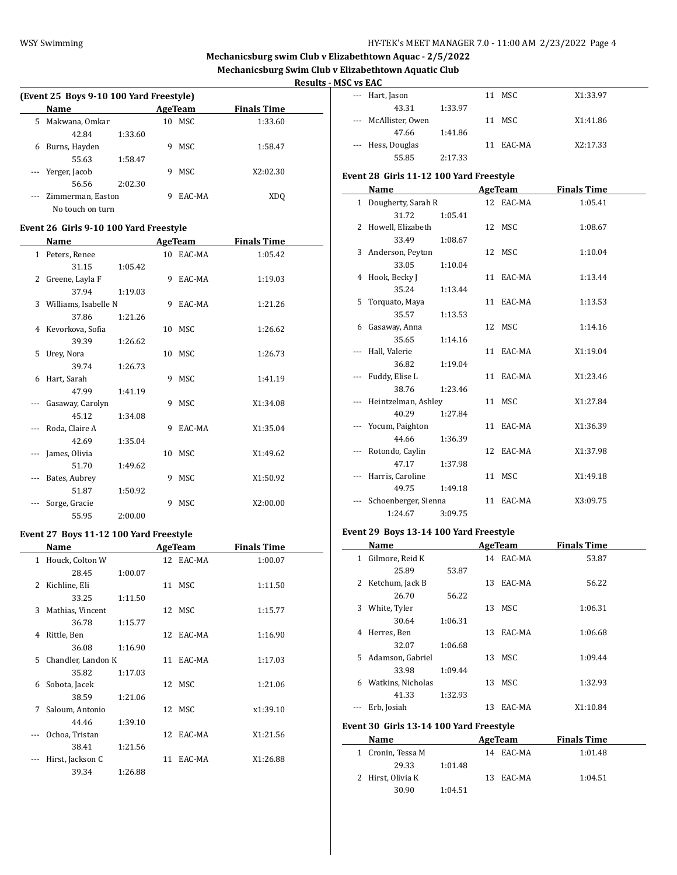# WSY Swimming WSY Swimming **HY-TEK's MEET MANAGER 7.0 - 11:00 AM 2/23/2022** Page 4

# **Mechanicsburg swim Club v Elizabethtown Aquac - 2/5/2022 Mechanicsburg Swim Club v Elizabethtown Aquatic Club**

# **Results - MSC vs EAC**

|   | (Event 25 Boys 9-10 100 Yard Freestyle) |         |   |         |                    |  |  |  |  |  |
|---|-----------------------------------------|---------|---|---------|--------------------|--|--|--|--|--|
|   | Name                                    |         |   | AgeTeam | <b>Finals Time</b> |  |  |  |  |  |
| 5 | Makwana, Omkar                          |         |   | 10 MSC  | 1:33.60            |  |  |  |  |  |
|   | 42.84                                   | 1:33.60 |   |         |                    |  |  |  |  |  |
| 6 | Burns, Hayden                           |         | 9 | MSC.    | 1:58.47            |  |  |  |  |  |
|   | 55.63                                   | 1:58.47 |   |         |                    |  |  |  |  |  |
|   | --- Yerger, Jacob                       |         | 9 | MSC.    | X2:02.30           |  |  |  |  |  |
|   | 56.56                                   | 2:02.30 |   |         |                    |  |  |  |  |  |
|   | Zimmerman, Easton                       |         | 9 | EAC-MA  | XD <sub>0</sub>    |  |  |  |  |  |
|   | No touch on turn                        |         |   |         |                    |  |  |  |  |  |

# **Event 26 Girls 9-10 100 Yard Freestyle**

|              | Name                   |         |    | <b>AgeTeam</b> | <b>Finals Time</b> |  |
|--------------|------------------------|---------|----|----------------|--------------------|--|
| $\mathbf{1}$ | Peters, Renee          |         | 10 | EAC-MA         | 1:05.42            |  |
|              | 31.15                  | 1:05.42 |    |                |                    |  |
| 2            | Greene, Layla F        |         | 9  | EAC-MA         | 1:19.03            |  |
|              | 37.94                  | 1:19.03 |    |                |                    |  |
|              | 3 Williams, Isabelle N |         | 9  | EAC-MA         | 1:21.26            |  |
|              | 37.86                  | 1:21.26 |    |                |                    |  |
| 4            | Kevorkova, Sofia       |         | 10 | MSC            | 1:26.62            |  |
|              | 39.39                  | 1:26.62 |    |                |                    |  |
| 5            | Urey, Nora             |         | 10 | MSC            | 1:26.73            |  |
|              | 39.74                  | 1:26.73 |    |                |                    |  |
| 6            | Hart, Sarah            |         | 9  | MSC            | 1:41.19            |  |
|              | 47.99                  | 1:41.19 |    |                |                    |  |
|              | Gasaway, Carolyn       |         | 9  | MSC            | X1:34.08           |  |
|              | 45.12                  | 1:34.08 |    |                |                    |  |
|              | Roda, Claire A         |         | 9  | EAC-MA         | X1:35.04           |  |
|              | 42.69                  | 1:35.04 |    |                |                    |  |
|              | James, Olivia          |         |    | 10 MSC         | X1:49.62           |  |
|              | 51.70                  | 1:49.62 |    |                |                    |  |
|              | Bates, Aubrey          |         | 9  | MSC            | X1:50.92           |  |
|              | 51.87                  | 1:50.92 |    |                |                    |  |
|              | Sorge, Gracie          |         | 9  | MSC            | X2:00.00           |  |
|              | 55.95                  | 2:00.00 |    |                |                    |  |

# **Event 27 Boys 11-12 100 Yard Freestyle**

|               | Name               |         |    | AgeTeam   | <b>Finals Time</b> |
|---------------|--------------------|---------|----|-----------|--------------------|
| $\mathbf{1}$  | Houck, Colton W    |         |    | 12 EAC-MA | 1:00.07            |
|               | 28.45              | 1:00.07 |    |           |                    |
| $\mathcal{L}$ | Kichline, Eli      |         |    | 11 MSC    | 1:11.50            |
|               | 33.25              | 1:11.50 |    |           |                    |
| 3             | Mathias, Vincent   |         |    | 12 MSC    | 1:15.77            |
|               | 36.78              | 1:15.77 |    |           |                    |
| 4             | Rittle, Ben        |         |    | 12 EAC-MA | 1:16.90            |
|               | 36.08              | 1:16.90 |    |           |                    |
| 5.            | Chandler, Landon K |         |    | 11 EAC-MA | 1:17.03            |
|               | 35.82              | 1:17.03 |    |           |                    |
| 6             | Sobota, Jacek      |         |    | 12 MSC    | 1:21.06            |
|               | 38.59              | 1:21.06 |    |           |                    |
| 7             | Saloum, Antonio    |         |    | 12 MSC    | x1:39.10           |
|               | 44.46              | 1:39.10 |    |           |                    |
|               | Ochoa, Tristan     |         | 12 | EAC-MA    | X1:21.56           |
|               | 38.41              | 1:21.56 |    |           |                    |
|               | Hirst, Jackson C   |         | 11 | EAC-MA    | X1:26.88           |
|               | 39.34              | 1:26.88 |    |           |                    |

| --- Hart, Jason      |         | 11 | MSC    | X1:33.97 |
|----------------------|---------|----|--------|----------|
| 43.31                | 1:33.97 |    |        |          |
| --- McAllister, Owen |         | 11 | MSC    | X1:41.86 |
| 47.66                | 1:41.86 |    |        |          |
| --- Hess, Douglas    |         | 11 | EAC-MA | X2:17.33 |
| 55.85                | 2:17.33 |    |        |          |

# **Event 28 Girls 11-12 100 Yard Freestyle**

|     | Name                 |         | <b>AgeTeam</b> | <b>Finals Time</b> |
|-----|----------------------|---------|----------------|--------------------|
|     | 1 Dougherty, Sarah R |         | 12 EAC-MA      | 1:05.41            |
|     | 31.72                | 1:05.41 |                |                    |
|     | 2 Howell, Elizabeth  |         | 12 MSC         | 1:08.67            |
|     | 33.49                | 1:08.67 |                |                    |
|     | 3 Anderson, Peyton   |         | 12 MSC         | 1:10.04            |
|     | 33.05                | 1:10.04 |                |                    |
|     | 4 Hook, Becky J      |         | 11 EAC-MA      | 1:13.44            |
|     | 35.24                | 1:13.44 |                |                    |
|     | 5 Torquato, Maya     |         | 11 EAC-MA      | 1:13.53            |
|     | 35.57                | 1:13.53 |                |                    |
|     | 6 Gasaway, Anna      |         | 12 MSC         | 1:14.16            |
|     | 35.65                | 1:14.16 |                |                    |
| --- | Hall, Valerie        |         | 11 EAC-MA      | X1:19.04           |
|     | 36.82                | 1:19.04 |                |                    |
|     | Fuddy, Elise L       |         | 11 EAC-MA      | X1:23.46           |
|     | 38.76                | 1:23.46 |                |                    |
|     | Heintzelman, Ashley  |         | 11 MSC         | X1:27.84           |
|     | 40.29                | 1:27.84 |                |                    |
|     | Yocum, Paighton      |         | 11 EAC-MA      | X1:36.39           |
|     | 44.66                | 1:36.39 |                |                    |
|     | Rotondo, Caylin      |         | 12 EAC-MA      | X1:37.98           |
|     | 47.17                | 1:37.98 |                |                    |
|     | Harris, Caroline     |         | 11 MSC         | X1:49.18           |
|     | 49.75                | 1:49.18 |                |                    |
|     | Schoenberger, Sienna |         | 11 EAC-MA      | X3:09.75           |
|     | 1:24.67              | 3:09.75 |                |                    |

# **Event 29 Boys 13-14 100 Yard Freestyle**

|   | Name               |         |     | <b>AgeTeam</b> | <b>Finals Time</b> |  |
|---|--------------------|---------|-----|----------------|--------------------|--|
| 1 | Gilmore, Reid K    |         |     | 14 EAC-MA      | 53.87              |  |
|   | 25.89              | 53.87   |     |                |                    |  |
| 2 | Ketchum, Jack B    |         | 13  | EAC-MA         | 56.22              |  |
|   | 26.70              | 56.22   |     |                |                    |  |
| 3 | White, Tyler       |         | 13  | MSC            | 1:06.31            |  |
|   | 30.64              | 1:06.31 |     |                |                    |  |
| 4 | Herres, Ben        |         | 13  | EAC-MA         | 1:06.68            |  |
|   | 32.07              | 1:06.68 |     |                |                    |  |
|   | 5 Adamson, Gabriel |         |     | 13 MSC         | 1:09.44            |  |
|   | 33.98              | 1:09.44 |     |                |                    |  |
| 6 | Watkins, Nicholas  |         | 13  | MSC            | 1:32.93            |  |
|   | 41.33              | 1:32.93 |     |                |                    |  |
|   | Erb, Josiah        |         | 13. | EAC-MA         | X1:10.84           |  |
|   |                    |         |     |                |                    |  |

# **Event 30 Girls 13-14 100 Yard Freestyle**

| Name              |         | AgeTeam       | <b>Finals Time</b> |
|-------------------|---------|---------------|--------------------|
| 1 Cronin, Tessa M |         | 14 EAC-MA     | 1:01.48            |
| 29.33             | 1:01.48 |               |                    |
| 2 Hirst, Olivia K |         | EAC-MA<br>13. | 1:04.51            |
| 30.90             | 1:04.51 |               |                    |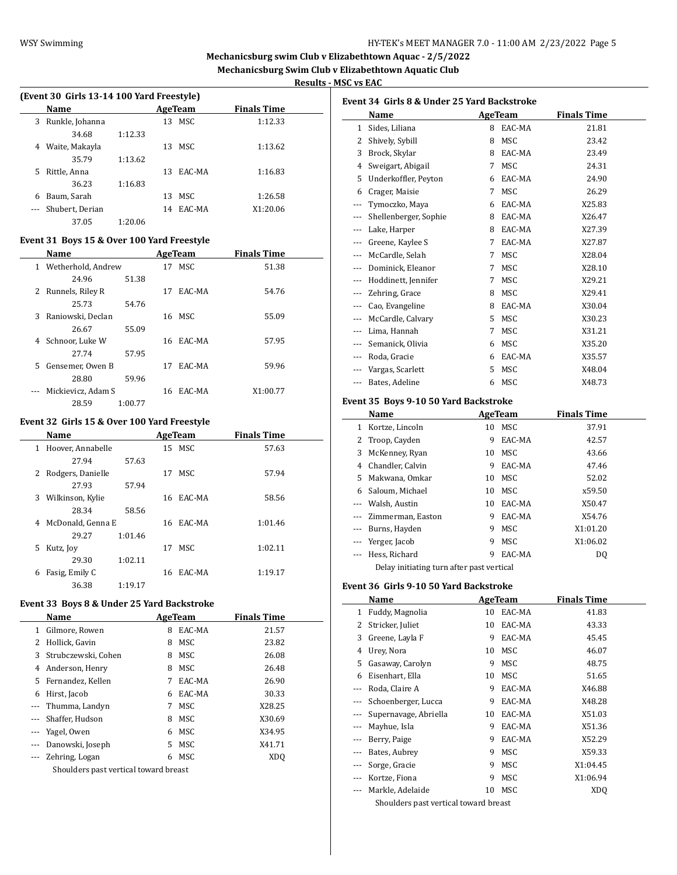# WSY Swimming **HY-TEK's MEET MANAGER 7.0 - 11:00 AM 2/23/2022** Page 5

# **Mechanicsburg swim Club v Elizabethtown Aquac - 2/5/2022 Mechanicsburg Swim Club v Elizabethtown Aquatic Club**

 $\overline{\phantom{a}}$ 

 $\overline{\phantom{0}}$ 

**Results - MSC vs EAC**

|                    | (Event 30 Girls 13-14 100 Yard Freestyle) |    |         |                 |   |  |  |
|--------------------|-------------------------------------------|----|---------|-----------------|---|--|--|
| <b>Finals Time</b> | AgeTeam                                   |    |         | <b>Name</b>     |   |  |  |
| 1:12.33            | 13 MSC                                    |    |         | Runkle, Johanna | 3 |  |  |
|                    |                                           |    | 1:12.33 | 34.68           |   |  |  |
| 1:13.62            | MSC                                       | 13 |         | Waite, Makayla  | 4 |  |  |
|                    |                                           |    | 1:13.62 | 35.79           |   |  |  |
| 1:16.83            | EAC-MA                                    | 13 |         | Rittle, Anna    | 5 |  |  |
|                    |                                           |    | 1:16.83 | 36.23           |   |  |  |
| 1:26.58            | MSC.                                      | 13 |         | Baum. Sarah     | 6 |  |  |
| X1:20.06           | EAC-MA                                    | 14 |         | Shubert, Derian |   |  |  |
|                    |                                           |    | 1:20.06 | 37.05           |   |  |  |
|                    |                                           |    |         |                 |   |  |  |

# **Event 31 Boys 15 & Over 100 Yard Freestyle**

|    | Name               |         |    | AgeTeam | <b>Finals Time</b> |
|----|--------------------|---------|----|---------|--------------------|
| 1  | Wetherhold, Andrew |         | 17 | MSC.    | 51.38              |
|    | 24.96              | 51.38   |    |         |                    |
| 2  | Runnels, Riley R   |         | 17 | EAC-MA  | 54.76              |
|    | 25.73              | 54.76   |    |         |                    |
| 3  | Raniowski, Declan  |         |    | 16 MSC  | 55.09              |
|    | 26.67              | 55.09   |    |         |                    |
| 4  | Schnoor, Luke W    |         | 16 | EAC-MA  | 57.95              |
|    | 27.74              | 57.95   |    |         |                    |
| 5. | Gensemer, Owen B   |         | 17 | EAC-MA  | 59.96              |
|    | 28.80              | 59.96   |    |         |                    |
|    | Mickievicz, Adam S |         | 16 | EAC-MA  | X1:00.77           |
|    | 28.59              | 1:00.77 |    |         |                    |

# **Event 32 Girls 15 & Over 100 Yard Freestyle**

|    | Name                |         | AgeTeam |           | <b>Finals Time</b> |  |
|----|---------------------|---------|---------|-----------|--------------------|--|
| 1  | Hoover, Annabelle   |         |         | 15 MSC    | 57.63              |  |
|    | 27.94               | 57.63   |         |           |                    |  |
| 2  | Rodgers, Danielle   |         | 17      | MSC.      | 57.94              |  |
|    | 27.93               | 57.94   |         |           |                    |  |
| 3  | Wilkinson, Kylie    |         |         | 16 EAC-MA | 58.56              |  |
|    | 28.34               | 58.56   |         |           |                    |  |
|    | 4 McDonald, Genna E |         |         | 16 EAC-MA | 1:01.46            |  |
|    | 29.27               | 1:01.46 |         |           |                    |  |
| 5. | Kutz, Joy           |         | 17      | MSC.      | 1:02.11            |  |
|    | 29.30               | 1:02.11 |         |           |                    |  |
| 6  | Fasig, Emily C      |         | 16      | EAC-MA    | 1:19.17            |  |
|    | 36.38               | 1:19.17 |         |           |                    |  |

# **Event 33 Boys 8 & Under 25 Yard Backstroke**

 $\overline{\phantom{0}}$ 

|   | Name                                  | AgeTeam |            | <b>Finals Time</b> |  |  |  |
|---|---------------------------------------|---------|------------|--------------------|--|--|--|
| 1 | Gilmore, Rowen                        | 8       | EAC-MA     | 21.57              |  |  |  |
| 2 | Hollick, Gavin                        | 8       | MSC        | 23.82              |  |  |  |
| 3 | Strubczewski, Cohen                   | 8       | MSC        | 26.08              |  |  |  |
| 4 | Anderson, Henry                       | 8       | MSC        | 26.48              |  |  |  |
| 5 | Fernandez, Kellen                     | 7       | EAC-MA     | 26.90              |  |  |  |
| 6 | Hirst, Jacob                          | 6       | EAC-MA     | 30.33              |  |  |  |
|   | Thumma, Landyn                        | 7       | MSC        | X28.25             |  |  |  |
|   | Shaffer, Hudson                       | 8       | <b>MSC</b> | X30.69             |  |  |  |
|   | Yagel, Owen                           | 6       | <b>MSC</b> | X34.95             |  |  |  |
|   | Danowski, Joseph                      | 5.      | MSC        | X41.71             |  |  |  |
|   | Zehring, Logan                        | 6       | MSC        | XDO                |  |  |  |
|   | Shoulders past vertical toward breast |         |            |                    |  |  |  |

|          | Name                  |   | AgeTeam    | <b>Finals Time</b> |
|----------|-----------------------|---|------------|--------------------|
| 1        | Sides, Liliana        | 8 | EAC-MA     | 21.81              |
| 2        | Shively, Sybill       | 8 | <b>MSC</b> | 23.42              |
| 3        | Brock, Skylar         | 8 | EAC-MA     | 23.49              |
| 4        | Sweigart, Abigail     | 7 | <b>MSC</b> | 24.31              |
| 5        | Underkoffler, Peyton  | 6 | EAC-MA     | 24.90              |
| 6        | Crager, Maisie        | 7 | MSC        | 26.29              |
| $---$    | Tymoczko, Maya        | 6 | EAC-MA     | X25.83             |
| $\cdots$ | Shellenberger, Sophie | 8 | EAC-MA     | X26.47             |
| ---      | Lake, Harper          | 8 | EAC-MA     | X27.39             |
| $\cdots$ | Greene, Kaylee S      | 7 | EAC-MA     | X27.87             |
|          | McCardle, Selah       | 7 | <b>MSC</b> | X28.04             |
|          | Dominick, Eleanor     | 7 | <b>MSC</b> | X28.10             |
| $\cdots$ | Hoddinett, Jennifer   | 7 | <b>MSC</b> | X29.21             |
|          | Zehring, Grace        | 8 | MSC        | X29.41             |
| ---      | Cao, Evangeline       | 8 | EAC-MA     | X30.04             |
|          | McCardle, Calvary     | 5 | MSC        | X30.23             |
|          | Lima, Hannah          | 7 | <b>MSC</b> | X31.21             |
|          | Semanick, Olivia      | 6 | MSC        | X35.20             |
| $---$    | Roda, Gracie          | 6 | EAC-MA     | X35.57             |
|          | Vargas, Scarlett      | 5 | <b>MSC</b> | X48.04             |
| $\cdots$ | Bates, Adeline        | 6 | <b>MSC</b> | X48.73             |

# **Event 35 Boys 9-10 50 Yard Backstroke**

|   | Name                                      |    | AgeTeam | <b>Finals Time</b> |  |  |  |
|---|-------------------------------------------|----|---------|--------------------|--|--|--|
| 1 | Kortze, Lincoln                           | 10 | MSC     | 37.91              |  |  |  |
| 2 | Troop, Cayden                             | 9  | EAC-MA  | 42.57              |  |  |  |
| 3 | McKenney, Ryan                            | 10 | MSC     | 43.66              |  |  |  |
| 4 | Chandler, Calvin                          | 9  | EAC-MA  | 47.46              |  |  |  |
| 5 | Makwana, Omkar                            | 10 | MSC     | 52.02              |  |  |  |
| 6 | Saloum, Michael                           | 10 | MSC.    | x59.50             |  |  |  |
|   | Walsh, Austin                             | 10 | EAC-MA  | X50.47             |  |  |  |
|   | Zimmerman, Easton                         | 9  | EAC-MA  | X54.76             |  |  |  |
|   | Burns, Hayden                             | 9  | MSC     | X1:01.20           |  |  |  |
|   | Yerger, Jacob                             | 9  | MSC     | X1:06.02           |  |  |  |
|   | Hess, Richard                             | 9  | EAC-MA  | DO.                |  |  |  |
|   | Delay initiating turn after past vertical |    |         |                    |  |  |  |

#### **Event 36 Girls 9-10 50 Yard Backstroke**

|     | Name                  |    | AgeTeam    | <b>Finals Time</b> |  |  |  |
|-----|-----------------------|----|------------|--------------------|--|--|--|
| 1   | Fuddy, Magnolia       | 10 | EAC-MA     | 41.83              |  |  |  |
| 2   | Stricker, Juliet      | 10 | EAC-MA     | 43.33              |  |  |  |
| 3   | Greene, Layla F       | 9  | EAC-MA     | 45.45              |  |  |  |
| 4   | Urey, Nora            | 10 | MSC        | 46.07              |  |  |  |
| 5   | Gasaway, Carolyn      | 9  | MSC        | 48.75              |  |  |  |
| 6   | Eisenhart, Ella       | 10 | MSC        | 51.65              |  |  |  |
|     | Roda, Claire A        | 9  | EAC-MA     | X46.88             |  |  |  |
|     | Schoenberger, Lucca   | 9  | EAC-MA     | X48.28             |  |  |  |
|     | Supernavage, Abriella | 10 | EAC-MA     | X51.03             |  |  |  |
|     | Mayhue, Isla          | 9  | EAC-MA     | X51.36             |  |  |  |
|     | Berry, Paige          | 9  | EAC-MA     | X52.29             |  |  |  |
|     | Bates, Aubrey         | 9  | MSC        | X59.33             |  |  |  |
| --- | Sorge, Gracie         | 9  | MSC        | X1:04.45           |  |  |  |
|     | Kortze, Fiona         | 9  | MSC        | X1:06.94           |  |  |  |
|     | Markle, Adelaide      | 10 | <b>MSC</b> | XD <sub>O</sub>    |  |  |  |
|     | $\alpha$ ii ii .      |    |            |                    |  |  |  |

Shoulders past vertical toward breast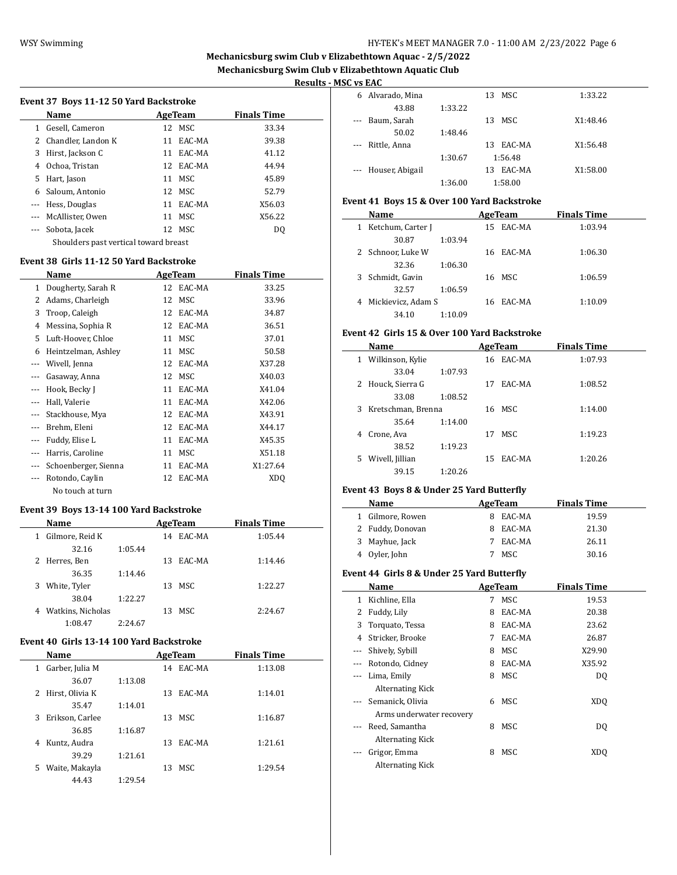# **Mechanicsburg swim Club v Elizabethtown Aquac - 2/5/2022 Mechanicsburg Swim Club v Elizabethtown Aquatic Club**

#### **Results - MSC vs EAC**

 $\overline{a}$ 

 $\frac{1}{2}$ 

|             | Event 37 Boys 11-12 50 Yard Backstroke |
|-------------|----------------------------------------|
| <b>Name</b> | AgeTeam                                |

|   | Name                                  |    | AgeTeam   | <b>Finals Time</b> |  |  |  |
|---|---------------------------------------|----|-----------|--------------------|--|--|--|
|   | 1 Gesell, Cameron                     |    | 12 MSC    | 33.34              |  |  |  |
| 2 | Chandler, Landon K                    |    | 11 EAC-MA | 39.38              |  |  |  |
| 3 | Hirst, Jackson C                      | 11 | EAC-MA    | 41.12              |  |  |  |
| 4 | Ochoa, Tristan                        |    | 12 EAC-MA | 44.94              |  |  |  |
| 5 | Hart, Jason                           | 11 | MSC.      | 45.89              |  |  |  |
| 6 | Saloum, Antonio                       |    | 12 MSC    | 52.79              |  |  |  |
|   | Hess, Douglas                         |    | 11 EAC-MA | X56.03             |  |  |  |
|   | McAllister, Owen                      | 11 | MSC       | X56.22             |  |  |  |
|   | Sobota, Jacek                         |    | 12 MSC    | D <sub>0</sub>     |  |  |  |
|   | Shoulders past vertical toward breast |    |           |                    |  |  |  |

#### **Event 38 Girls 11-12 50 Yard Backstroke**

|          | Name                 |    | AgeTeam    | <b>Finals Time</b> |
|----------|----------------------|----|------------|--------------------|
| 1        | Dougherty, Sarah R   |    | 12 EAC-MA  | 33.25              |
| 2        | Adams, Charleigh     | 12 | MSC        | 33.96              |
| 3        | Troop, Caleigh       | 12 | EAC-MA     | 34.87              |
| 4        | Messina, Sophia R    | 12 | EAC-MA     | 36.51              |
| 5        | Luft-Hoover, Chloe   | 11 | MSC        | 37.01              |
| 6        | Heintzelman, Ashley  | 11 | MSC        | 50.58              |
| $\cdots$ | Wivell, Jenna        | 12 | EAC-MA     | X37.28             |
|          | Gasaway, Anna        | 12 | MSC        | X40.03             |
|          | Hook, Becky J        | 11 | EAC-MA     | X41.04             |
|          | Hall, Valerie        | 11 | EAC-MA     | X42.06             |
|          | Stackhouse, Mya      | 12 | EAC-MA     | X43.91             |
|          | Brehm, Eleni         | 12 | EAC-MA     | X44.17             |
|          | Fuddy, Elise L       | 11 | EAC-MA     | X45.35             |
|          | Harris, Caroline     | 11 | <b>MSC</b> | X51.18             |
|          | Schoenberger, Sienna | 11 | EAC-MA     | X1:27.64           |
|          | Rotondo, Caylin      | 12 | EAC-MA     | XD <sub>O</sub>    |
|          | No touch at turn     |    |            |                    |

#### **Event 39 Boys 13-14 100 Yard Backstroke**

| Name                   |         |    | AgeTeam | <b>Finals Time</b> |
|------------------------|---------|----|---------|--------------------|
| Gilmore, Reid K<br>1   |         | 14 | EAC-MA  | 1:05.44            |
| 32.16                  | 1:05.44 |    |         |                    |
| 2 Herres, Ben          |         | 13 | EAC-MA  | 1:14.46            |
| 36.35                  | 1:14.46 |    |         |                    |
| White, Tyler<br>3      |         |    | 13 MSC  | 1:22.27            |
| 38.04                  | 1:22.27 |    |         |                    |
| Watkins, Nicholas<br>4 |         | 13 | MSC     | 2:24.67            |
| 1:08.47                | 2:24.67 |    |         |                    |

## **Event 40 Girls 13-14 100 Yard Backstroke**

| Name                 |         |    | AgeTeam   | <b>Finals Time</b> |
|----------------------|---------|----|-----------|--------------------|
| Garber, Julia M<br>1 |         |    | 14 EAC-MA | 1:13.08            |
| 36.07                | 1:13.08 |    |           |                    |
| Hirst, Olivia K<br>2 |         | 13 | EAC-MA    | 1:14.01            |
| 35.47                | 1:14.01 |    |           |                    |
| Erikson, Carlee<br>3 |         | 13 | MSC.      | 1:16.87            |
| 36.85                | 1:16.87 |    |           |                    |
| Kuntz, Audra<br>4    |         | 13 | EAC-MA    | 1:21.61            |
| 39.29                | 1:21.61 |    |           |                    |
| Waite, Makayla<br>5  |         | 13 | MSC.      | 1:29.54            |
| 44.43                | 1:29.54 |    |           |                    |

| .        |                     |         |              |          |
|----------|---------------------|---------|--------------|----------|
| 6        | Alvarado, Mina      |         | MSC<br>13    | 1:33.22  |
|          | 43.88               | 1:33.22 |              |          |
| $\cdots$ | Baum, Sarah         |         | MSC<br>13    | X1:48.46 |
|          | 50.02               | 1:48.46 |              |          |
| $\cdots$ | Rittle, Anna        |         | EAC-MA<br>13 | X1:56.48 |
|          |                     | 1:30.67 | 1:56.48      |          |
|          | --- Houser, Abigail |         | EAC-MA<br>13 | X1:58.00 |
|          |                     | 1:36.00 | 1:58.00      |          |
|          |                     |         |              |          |

# **Event 41 Boys 15 & Over 100 Yard Backstroke**

| Name                    |         | AgeTeam |           | <b>Finals Time</b> |  |
|-------------------------|---------|---------|-----------|--------------------|--|
| Ketchum, Carter J<br>1  |         |         | 15 EAC-MA | 1:03.94            |  |
| 30.87                   | 1:03.94 |         |           |                    |  |
| 2 Schnoor, Luke W       |         |         | 16 EAC-MA | 1:06.30            |  |
| 32.36                   | 1:06.30 |         |           |                    |  |
| 3 Schmidt, Gavin        |         |         | 16 MSC    | 1:06.59            |  |
| 32.57                   | 1:06.59 |         |           |                    |  |
| Mickievicz, Adam S<br>4 |         | 16      | EAC-MA    | 1:10.09            |  |
| 34.10                   | 1:10.09 |         |           |                    |  |

#### **Event 42 Girls 15 & Over 100 Yard Backstroke**

|   | Name               |         |    | AgeTeam   | <b>Finals Time</b> |  |
|---|--------------------|---------|----|-----------|--------------------|--|
| 1 | Wilkinson, Kylie   |         |    | 16 EAC-MA | 1:07.93            |  |
|   | 33.04              | 1:07.93 |    |           |                    |  |
| 2 | Houck, Sierra G    |         | 17 | EAC-MA    | 1:08.52            |  |
|   | 33.08              | 1:08.52 |    |           |                    |  |
| 3 | Kretschman, Brenna |         |    | 16 MSC    | 1:14.00            |  |
|   | 35.64              | 1:14.00 |    |           |                    |  |
| 4 | Crone, Ava         |         | 17 | MSC.      | 1:19.23            |  |
|   | 38.52              | 1:19.23 |    |           |                    |  |
| 5 | Wivell, Jillian    |         | 15 | EAC-MA    | 1:20.26            |  |
|   | 39.15              | 1:20.26 |    |           |                    |  |

## **Event 43 Boys 8 & Under 25 Yard Butterfly**

| Name             | AgeTeam      | <b>Finals Time</b> |  |
|------------------|--------------|--------------------|--|
| Gilmore, Rowen   | EAC-MA       | 19.59              |  |
| 2 Fuddy, Donovan | EAC-MA<br>8. | 21.30              |  |
| 3 Mayhue, Jack   | EAC-MA       | 26.11              |  |
| 4 Oyler, John    | MSC.         | 30.16              |  |

#### **Event 44 Girls 8 & Under 25 Yard Butterfly**

|          | Name                     |   | AgeTeam | <b>Finals Time</b> |  |
|----------|--------------------------|---|---------|--------------------|--|
| 1        | Kichline, Ella           | 7 | MSC     | 19.53              |  |
| 2        | Fuddy, Lily              | 8 | EAC-MA  | 20.38              |  |
| 3        | Torquato, Tessa          | 8 | EAC-MA  | 23.62              |  |
| 4        | Stricker, Brooke         | 7 | EAC-MA  | 26.87              |  |
| $\cdots$ | Shively, Sybill          | 8 | MSC     | X29.90             |  |
| $\cdots$ | Rotondo, Cidney          | 8 | EAC-MA  | X35.92             |  |
| $- - -$  | Lima, Emily              | 8 | MSC     | DO.                |  |
|          | Alternating Kick         |   |         |                    |  |
|          | --- Semanick, Olivia     | 6 | MSC.    | XD <sub>0</sub>    |  |
|          | Arms underwater recovery |   |         |                    |  |
| $\cdots$ | Reed, Samantha           | 8 | MSC     | DQ                 |  |
|          | Alternating Kick         |   |         |                    |  |
|          | Grigor, Emma             | 8 | MSC     | XDO                |  |
|          | <b>Alternating Kick</b>  |   |         |                    |  |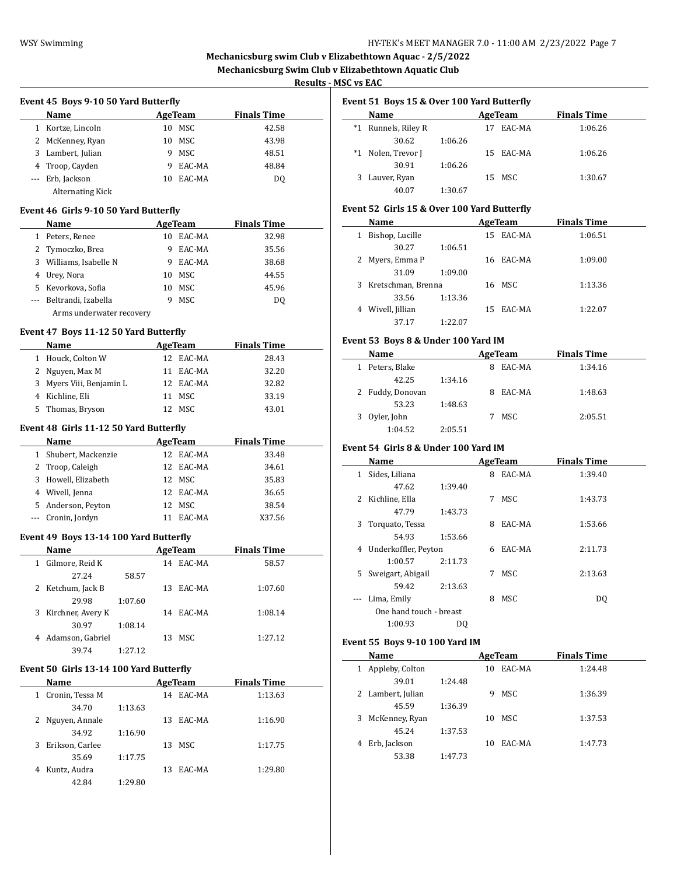# **Mechanicsburg swim Club v Elizabethtown Aquac - 2/5/2022**

**Mechanicsburg Swim Club v Elizabethtown Aquatic Club**

 $\overline{\phantom{a}}$ 

# **Results - MSC vs EAC**

|      | Event 45 Boys 9-10 50 Yard Butterfly  |    |         |                    |  |  |  |  |
|------|---------------------------------------|----|---------|--------------------|--|--|--|--|
| Name |                                       |    | AgeTeam | <b>Finals Time</b> |  |  |  |  |
| 1    | Kortze, Lincoln                       | 10 | MSC.    | 42.58              |  |  |  |  |
| 2    | McKenney, Ryan                        | 10 | MSC.    | 43.98              |  |  |  |  |
| 3    | Lambert, Julian                       | 9  | MSC.    | 48.51              |  |  |  |  |
| 4    | Troop, Cayden                         | 9  | EAC-MA  | 48.84              |  |  |  |  |
| ---  | Erb, Jackson                          | 10 | EAC-MA  | DO.                |  |  |  |  |
|      | Alternating Kick                      |    |         |                    |  |  |  |  |
|      | Event 46 Girls 9-10 50 Yard Butterfly |    |         |                    |  |  |  |  |
|      | <b>Name</b>                           |    | AgeTeam | <b>Finals Time</b> |  |  |  |  |

| Name                    |    | леетеаш   | гшать типе |
|-------------------------|----|-----------|------------|
| 1 Peters, Renee         |    | 10 EAC-MA | 32.98      |
| 2 Tymoczko, Brea        | 9  | EAC-MA    | 35.56      |
| 3 Williams, Isabelle N  | 9  | EAC-MA    | 38.68      |
| 4 Urey, Nora            |    | 10 MSC    | 44.55      |
| 5 Kevorkova, Sofia      | 10 | MSC.      | 45.96      |
| --- Beltrandi, Izabella | ч  | MSC.      | DΟ         |
|                         |    |           |            |

Arms underwater recovery

## **Event 47 Boys 11-12 50 Yard Butterfly**

| <b>Name</b>              |     | AgeTeam   | <b>Finals Time</b> |       |  |
|--------------------------|-----|-----------|--------------------|-------|--|
| 1 Houck, Colton W        |     | 12 EAC-MA |                    | 28.43 |  |
| 2 Nguyen, Max M          |     | 11 EAC-MA |                    | 32.20 |  |
| 3 Myers Viii, Benjamin L |     | 12 EAC-MA |                    | 32.82 |  |
| 4 Kichline, Eli          |     | 11 MSC    |                    | 33.19 |  |
| 5 Thomas, Bryson         | 12. | MSC.      |                    | 43.01 |  |

#### **Event 48 Girls 11-12 50 Yard Butterfly**

|          | <b>Name</b>          | AgeTeam |           | <b>Finals Time</b> |  |
|----------|----------------------|---------|-----------|--------------------|--|
|          | 1 Shubert, Mackenzie |         | 12 EAC-MA | 33.48              |  |
|          | 2 Troop, Caleigh     |         | 12 EAC-MA | 34.61              |  |
|          | 3 Howell, Elizabeth  |         | 12 MSC    | 35.83              |  |
|          | 4 Wivell, Jenna      |         | 12 EAC-MA | 36.65              |  |
|          | 5 Anderson, Peyton   | 12.     | MSC.      | 38.54              |  |
| $\cdots$ | Cronin, Jordyn       | 11      | EAC-MA    | X37.56             |  |

#### **Event 49 Boys 13-14 100 Yard Butterfly**

| Name                  |         |     | AgeTeam   | <b>Finals Time</b> |  |
|-----------------------|---------|-----|-----------|--------------------|--|
| 1 Gilmore, Reid K     |         | 14  | EAC-MA    | 58.57              |  |
| 27.24                 | 58.57   |     |           |                    |  |
| 2 Ketchum, Jack B     |         | 13. | EAC-MA    | 1:07.60            |  |
| 29.98                 | 1:07.60 |     |           |                    |  |
| 3 Kirchner, Avery K   |         |     | 14 EAC-MA | 1:08.14            |  |
| 30.97                 | 1:08.14 |     |           |                    |  |
| Adamson, Gabriel<br>4 |         | 13  | MSC       | 1:27.12            |  |
| 39.74                 | 1:27.12 |     |           |                    |  |

# **Event 50 Girls 13-14 100 Yard Butterfly**

|   | Name            |         |    | AgeTeam | <b>Finals Time</b> |  |
|---|-----------------|---------|----|---------|--------------------|--|
|   | Cronin, Tessa M |         | 14 | EAC-MA  | 1:13.63            |  |
|   | 34.70           | 1:13.63 |    |         |                    |  |
|   | Nguyen, Annale  |         | 13 | EAC-MA  | 1:16.90            |  |
|   | 34.92           | 1:16.90 |    |         |                    |  |
| 3 | Erikson, Carlee |         | 13 | MSC.    | 1:17.75            |  |
|   | 35.69           | 1:17.75 |    |         |                    |  |
| 4 | Kuntz, Audra    |         | 13 | EAC-MA  | 1:29.80            |  |
|   | 42.84           | 1:29.80 |    |         |                    |  |

|  |  | Event 51 Boys 15 & Over 100 Yard Butterfly |  |
|--|--|--------------------------------------------|--|
|--|--|--------------------------------------------|--|

|   | <b>Name</b>         |         |    | AgeTeam   | <b>Finals Time</b> |  |
|---|---------------------|---------|----|-----------|--------------------|--|
|   | *1 Runnels, Riley R |         | 17 | EAC-MA    | 1:06.26            |  |
|   | 30.62               | 1:06.26 |    |           |                    |  |
|   | *1 Nolen, Trevor J  |         |    | 15 EAC-MA | 1:06.26            |  |
|   | 30.91               | 1:06.26 |    |           |                    |  |
| 3 | Lauver, Ryan        |         |    | 15 MSC    | 1:30.67            |  |
|   | 40.07               | 1:30.67 |    |           |                    |  |

## **Event 52 Girls 15 & Over 100 Yard Butterfly**

| Name                 |         | AgeTeam   | <b>Finals Time</b> |  |
|----------------------|---------|-----------|--------------------|--|
| Bishop, Lucille<br>1 |         | 15 EAC-MA | 1:06.51            |  |
| 30.27                | 1:06.51 |           |                    |  |
| 2 Myers, Emma P      |         | 16 EAC-MA | 1:09.00            |  |
| 31.09                | 1:09.00 |           |                    |  |
| 3 Kretschman, Brenna |         | 16 MSC    | 1:13.36            |  |
| 33.56                | 1:13.36 |           |                    |  |
| 4 Wivell, Jillian    |         | 15 EAC-MA | 1:22.07            |  |
| 37.17                | 1:22.07 |           |                    |  |

# **Event 53 Boys 8 & Under 100 Yard IM**

| Name               |         | AgeTeam | <b>Finals Time</b> |  |
|--------------------|---------|---------|--------------------|--|
| Peters, Blake<br>1 |         | EAC-MA  | 1:34.16            |  |
| 42.25              | 1:34.16 |         |                    |  |
| 2 Fuddy, Donovan   |         | EAC-MA  | 1:48.63            |  |
| 53.23              | 1:48.63 |         |                    |  |
| 3 Oyler, John      |         | MSC.    | 2:05.51            |  |
| 1:04.52            | 2:05.51 |         |                    |  |

# **Event 54 Girls 8 & Under 100 Yard IM**

|    | Name                    |         |   | AgeTeam | <b>Finals Time</b> |
|----|-------------------------|---------|---|---------|--------------------|
| 1  | Sides, Liliana          |         | 8 | EAC-MA  | 1:39.40            |
|    | 47.62                   | 1:39.40 |   |         |                    |
| 2  | Kichline, Ella          |         | 7 | MSC     | 1:43.73            |
|    | 47.79                   | 1:43.73 |   |         |                    |
| 3  | Torquato, Tessa         |         | 8 | EAC-MA  | 1:53.66            |
|    | 54.93                   | 1:53.66 |   |         |                    |
| 4  | Underkoffler, Peyton    |         | 6 | EAC-MA  | 2:11.73            |
|    | 1:00.57                 | 2:11.73 |   |         |                    |
| 5. | Sweigart, Abigail       |         | 7 | MSC     | 2:13.63            |
|    | 59.42                   | 2:13.63 |   |         |                    |
|    | Lima, Emily             |         | 8 | MSC     | DQ                 |
|    | One hand touch - breast |         |   |         |                    |
|    | 1:00.93                 | DQ      |   |         |                    |
|    |                         |         |   |         |                    |

#### **Event 55 Boys 9-10 100 Yard IM**

| Name                 |         |    | AgeTeam | <b>Finals Time</b> |
|----------------------|---------|----|---------|--------------------|
| Appleby, Colton<br>1 |         | 10 | EAC-MA  | 1:24.48            |
| 39.01                | 1:24.48 |    |         |                    |
| 2 Lambert, Julian    |         | 9  | MSC.    | 1:36.39            |
| 45.59                | 1:36.39 |    |         |                    |
| 3 McKenney, Ryan     |         | 10 | MSC     | 1:37.53            |
| 45.24                | 1:37.53 |    |         |                    |
| Erb, Jackson<br>4    |         | 10 | EAC-MA  | 1:47.73            |
| 53.38                | 1:47.73 |    |         |                    |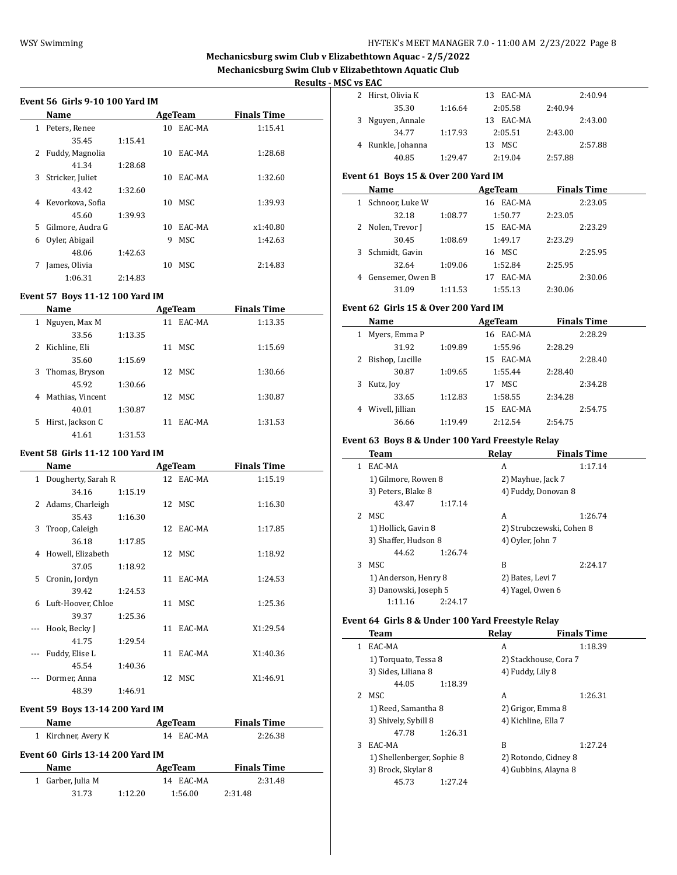## WSY Swimming **HY-TEK's MEET MANAGER 7.0 - 11:00 AM 2/23/2022** Page 8

# **Mechanicsburg swim Club v Elizabethtown Aquac - 2/5/2022 Mechanicsburg Swim Club v Elizabethtown Aquatic Club**

**Results - MSC vs EAC**

|              | Name             |         |    | AgeTeam | Finals Time |
|--------------|------------------|---------|----|---------|-------------|
| $\mathbf{1}$ | Peters, Renee    |         | 10 | EAC-MA  | 1:15.41     |
|              | 35.45            | 1:15.41 |    |         |             |
| 2            | Fuddy, Magnolia  |         | 10 | EAC-MA  | 1:28.68     |
|              | 41.34            | 1:28.68 |    |         |             |
| 3            | Stricker, Juliet |         | 10 | EAC-MA  | 1:32.60     |
|              | 43.42            | 1:32.60 |    |         |             |
| 4            | Kevorkova, Sofia |         | 10 | MSC.    | 1:39.93     |
|              | 45.60            | 1:39.93 |    |         |             |
| 5.           | Gilmore, Audra G |         | 10 | EAC-MA  | x1:40.80    |
| 6            | Oyler, Abigail   |         | 9  | MSC.    | 1:42.63     |
|              | 48.06            | 1:42.63 |    |         |             |
| 7            | James, Olivia    |         | 10 | MSC.    | 2:14.83     |
|              | 1:06.31          | 2:14.83 |    |         |             |
|              |                  |         |    |         |             |

# **Event 57 Boys 11-12 100 Yard IM**

|   | Name             |         |    | AgeTeam   | <b>Finals Time</b> |  |
|---|------------------|---------|----|-----------|--------------------|--|
| 1 | Nguyen, Max M    |         |    | 11 EAC-MA | 1:13.35            |  |
|   | 33.56            | 1:13.35 |    |           |                    |  |
|   | 2 Kichline, Eli  |         |    | 11 MSC    | 1:15.69            |  |
|   | 35.60            | 1:15.69 |    |           |                    |  |
| 3 | Thomas, Bryson   |         |    | 12 MSC    | 1:30.66            |  |
|   | 45.92            | 1:30.66 |    |           |                    |  |
| 4 | Mathias, Vincent |         |    | 12 MSC    | 1:30.87            |  |
|   | 40.01            | 1:30.87 |    |           |                    |  |
| 5 | Hirst, Jackson C |         | 11 | EAC-MA    | 1:31.53            |  |
|   | 41.61            | 1:31.53 |    |           |                    |  |

# **Event 58 Girls 11-12 100 Yard IM**

|    | Name                 |         | AgeTeam   | <b>Finals Time</b> |  |
|----|----------------------|---------|-----------|--------------------|--|
|    | 1 Dougherty, Sarah R |         | 12 EAC-MA | 1:15.19            |  |
|    | 34.16                | 1:15.19 |           |                    |  |
|    | 2 Adams, Charleigh   |         | 12 MSC    | 1:16.30            |  |
|    | 35.43                | 1:16.30 |           |                    |  |
| 3  | Troop, Caleigh       |         | 12 EAC-MA | 1:17.85            |  |
|    | 36.18                | 1:17.85 |           |                    |  |
|    | 4 Howell, Elizabeth  |         | 12 MSC    | 1:18.92            |  |
|    | 37.05                | 1:18.92 |           |                    |  |
| 5. | Cronin, Jordyn       |         | 11 EAC-MA | 1:24.53            |  |
|    | 39.42                | 1:24.53 |           |                    |  |
|    | 6 Luft-Hoover, Chloe |         | 11 MSC    | 1:25.36            |  |
|    | 39.37                | 1:25.36 |           |                    |  |
|    | --- Hook, Becky J    |         | 11 EAC-MA | X1:29.54           |  |
|    | 41.75                | 1:29.54 |           |                    |  |
|    | Fuddy, Elise L       |         | 11 EAC-MA | X1:40.36           |  |
|    | 45.54                | 1:40.36 |           |                    |  |
|    | Dormer, Anna         |         | 12 MSC    | X1:46.91           |  |
|    | 48.39                | 1:46.91 |           |                    |  |

#### **Event 59 Boys 13-14 200 Yard IM**

| Name                | AgeTeam   | <b>Finals Time</b> |  |
|---------------------|-----------|--------------------|--|
| 1 Kirchner, Avery K | 14 EAC-MA | 2:26.38            |  |

# **Event 60 Girls 13-14 200 Yard IM**

| Name              |         | AgeTeam   | <b>Finals Time</b> |  |
|-------------------|---------|-----------|--------------------|--|
| 1 Garber, Julia M |         | 14 EAC-MA | 2:31.48            |  |
| 31.73             | 1:12.20 | 1:56.00   | 2:31.48            |  |

| .                 |         |               |         |         |
|-------------------|---------|---------------|---------|---------|
| 2 Hirst, Olivia K |         | 13 EAC-MA     |         | 2:40.94 |
| 35.30             | 1:16.64 | 2:05.58       | 2:40.94 |         |
| 3 Nguyen, Annale  |         | EAC-MA<br>13. |         | 2:43.00 |
| 34.77             | 1:17.93 | 2:05.51       | 2:43.00 |         |
| 4 Runkle, Johanna |         | MSC.<br>13    |         | 2:57.88 |
| 40.85             | 1:29.47 | 2:19.04       | 2:57.88 |         |

# **Event 61 Boys 15 & Over 200 Yard IM**

|   | Name              |         | AgeTeam      | <b>Finals Time</b> |  |
|---|-------------------|---------|--------------|--------------------|--|
| 1 | Schnoor, Luke W   |         | 16 EAC-MA    | 2:23.05            |  |
|   | 32.18             | 1:08.77 | 1:50.77      | 2:23.05            |  |
|   | 2 Nolen, Trevor J |         | 15 EAC-MA    | 2:23.29            |  |
|   | 30.45             | 1:08.69 | 1:49.17      | 2:23.29            |  |
|   | 3 Schmidt, Gavin  |         | 16 MSC       | 2:25.95            |  |
|   | 32.64             | 1:09.06 | 1:52.84      | 2:25.95            |  |
| 4 | Gensemer, Owen B  |         | EAC-MA<br>17 | 2:30.06            |  |
|   | 31.09             | 1:11.53 | 1:55.13      | 2:30.06            |  |

# **Event 62 Girls 15 & Over 200 Yard IM**

|   | Name            |         | AgeTeam      | <b>Finals Time</b> |  |
|---|-----------------|---------|--------------|--------------------|--|
| 1 | Myers, Emma P   |         | 16 EAC-MA    | 2:28.29            |  |
|   | 31.92           | 1:09.89 | 1:55.96      | 2:28.29            |  |
| 2 | Bishop, Lucille |         | 15 EAC-MA    | 2:28.40            |  |
|   | 30.87           | 1:09.65 | 1:55.44      | 2:28.40            |  |
| 3 | Kutz, Joy       |         | MSC<br>17    | 2:34.28            |  |
|   | 33.65           | 1:12.83 | 1:58.55      | 2:34.28            |  |
| 4 | Wivell, Jillian |         | EAC-MA<br>15 | 2:54.75            |  |
|   | 36.66           | 1:19.49 | 2:12.54      | 2:54.75            |  |

#### **Event 63 Boys 8 & Under 100 Yard Freestyle Relay**

|                | Team                  | Relav               | <b>Finals Time</b>       |
|----------------|-----------------------|---------------------|--------------------------|
| 1              | EAC-MA                | A                   | 1:17.14                  |
|                | 1) Gilmore, Rowen 8   | 2) Mayhue, Jack 7   |                          |
|                | 3) Peters, Blake 8    | 4) Fuddy, Donovan 8 |                          |
|                | 43.47<br>1:17.14      |                     |                          |
| $\overline{2}$ | MSC.                  | A                   | 1:26.74                  |
|                | 1) Hollick, Gavin 8   |                     | 2) Strubczewski, Cohen 8 |
|                | 3) Shaffer, Hudson 8  | 4) Oyler, John 7    |                          |
|                | 44.62<br>1:26.74      |                     |                          |
| 3              | MSC.                  | B                   | 2:24.17                  |
|                | 1) Anderson, Henry 8  | 2) Bates, Levi 7    |                          |
|                | 3) Danowski, Joseph 5 | 4) Yagel, Owen 6    |                          |
|                | 1:11.16<br>2:24.17    |                     |                          |

### **Event 64 Girls 8 & Under 100 Yard Freestyle Relay**

 $\overline{\phantom{0}}$ 

|    | Team                       |         | Relav                 | <b>Finals Time</b> |
|----|----------------------------|---------|-----------------------|--------------------|
| 1. | EAC-MA                     |         | A                     | 1:18.39            |
|    | 1) Torquato, Tessa 8       |         | 2) Stackhouse, Cora 7 |                    |
|    | 3) Sides, Liliana 8        |         | 4) Fuddy, Lily 8      |                    |
|    | 44.05                      | 1:18.39 |                       |                    |
| 2  | MSC.                       |         | A                     | 1:26.31            |
|    | 1) Reed, Samantha 8        |         | 2) Grigor, Emma 8     |                    |
|    | 3) Shively, Sybill 8       |         | 4) Kichline, Ella 7   |                    |
|    | 47.78                      | 1:26.31 |                       |                    |
| 3  | EAC-MA                     |         | B                     | 1:27.24            |
|    | 1) Shellenberger, Sophie 8 |         | 2) Rotondo, Cidney 8  |                    |
|    | 3) Brock, Skylar 8         |         | 4) Gubbins, Alayna 8  |                    |
|    | 45.73                      | 1:27.24 |                       |                    |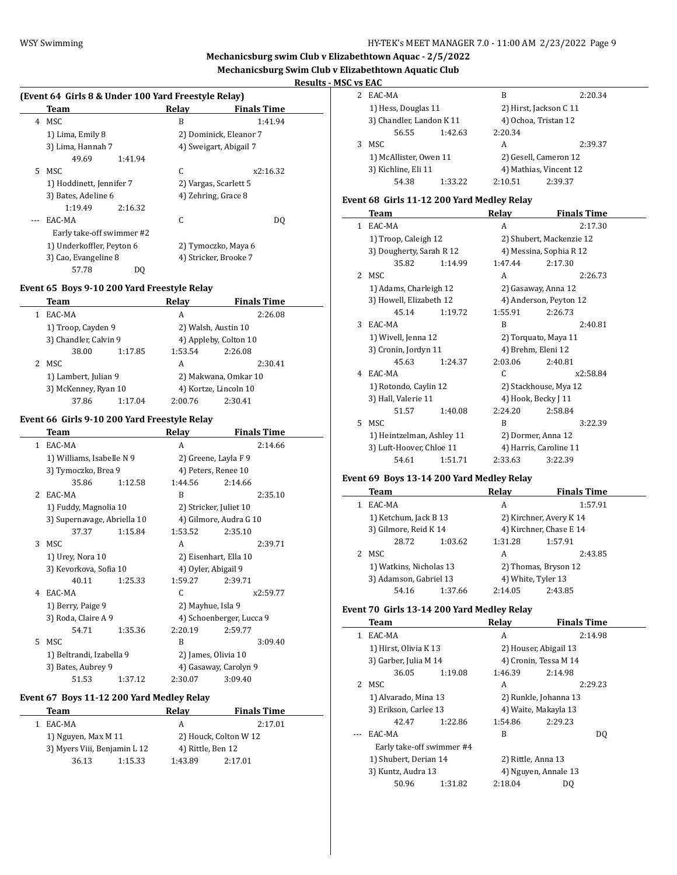# **Mechanicsburg swim Club v Elizabethtown Aquac - 2/5/2022 Mechanicsburg Swim Club v Elizabethtown Aquatic Club**

# **Results - MSC vs EAC**

 $\sim$ 

#### **(Event 64 Girls 8 & Under 100 Yard Freestyle Relay)**

|    | Team                      | Relav | <b>Finals Time</b>     |
|----|---------------------------|-------|------------------------|
| 4  | MSC                       | B     | 1:41.94                |
|    | 1) Lima, Emily 8          |       | 2) Dominick, Eleanor 7 |
|    | 3) Lima, Hannah 7         |       | 4) Sweigart, Abigail 7 |
|    | 49.69<br>1:41.94          |       |                        |
| 5. | MSC                       | C     | x2:16.32               |
|    | 1) Hoddinett, Jennifer 7  |       | 2) Vargas, Scarlett 5  |
|    | 3) Bates, Adeline 6       |       | 4) Zehring, Grace 8    |
|    | 1:19.49<br>2:16.32        |       |                        |
|    | EAC-MA                    | C     | DO.                    |
|    | Early take-off swimmer #2 |       |                        |
|    | 1) Underkoffler, Peyton 6 |       | 2) Tymoczko, Maya 6    |
|    | 3) Cao, Evangeline 8      |       | 4) Stricker, Brooke 7  |
|    | 57.78<br>DQ               |       |                        |

# **Event 65 Boys 9-10 200 Yard Freestyle Relay**

| Team                  |         | Relay   | <b>Finals Time</b>    |  |
|-----------------------|---------|---------|-----------------------|--|
| EAC-MA                |         | A       | 2:26.08               |  |
| 1) Troop, Cayden 9    |         |         | 2) Walsh, Austin 10   |  |
| 3) Chandler, Calvin 9 |         |         | 4) Appleby, Colton 10 |  |
| 38.00                 | 1:17.85 | 1:53.54 | 2:26.08               |  |
| MSC<br>$\mathcal{L}$  |         | A       | 2:30.41               |  |
| 1) Lambert, Julian 9  |         |         | 2) Makwana, Omkar 10  |  |
| 3) McKenney, Ryan 10  |         |         | 4) Kortze, Lincoln 10 |  |
| 37.86                 | 1:17.04 | 2:00.76 | 2:30.41               |  |

# **Event 66 Girls 9-10 200 Yard Freestyle Relay**

|             | Team                        |         | Relay                  | <b>Finals Time</b>       |
|-------------|-----------------------------|---------|------------------------|--------------------------|
| 1           | EAC-MA                      |         | A                      | 2:14.66                  |
|             | 1) Williams, Isabelle N 9   |         | 2) Greene, Layla F 9   |                          |
|             | 3) Tymoczko, Brea 9         |         | 4) Peters, Renee 10    |                          |
|             | 35.86                       | 1:12.58 | 1:44.56                | 2:14.66                  |
| $2^{\circ}$ | EAC-MA                      |         | B                      | 2:35.10                  |
|             | 1) Fuddy, Magnolia 10       |         | 2) Stricker, Juliet 10 |                          |
|             | 3) Supernavage, Abriella 10 |         |                        | 4) Gilmore, Audra G 10   |
|             | 37.37                       | 1:15.84 | 1:53.52                | 2:35.10                  |
| 3           | MSC.                        |         | A                      | 2:39.71                  |
|             | 1) Urey, Nora 10            |         |                        | 2) Eisenhart, Ella 10    |
|             | 3) Kevorkova, Sofia 10      |         | 4) Oyler, Abigail 9    |                          |
|             | 40.11                       | 1:25.33 | 1:59.27                | 2:39.71                  |
| 4           | EAC-MA                      |         | C                      | x2:59.77                 |
|             | 1) Berry, Paige 9           |         | 2) Mayhue, Isla 9      |                          |
|             | 3) Roda, Claire A 9         |         |                        | 4) Schoenberger, Lucca 9 |
|             | 54.71                       | 1:35.36 | 2:20.19                | 2:59.77                  |
| 5.          | MSC.                        |         | R                      | 3:09.40                  |
|             | 1) Beltrandi, Izabella 9    |         | 2) James, Olivia 10    |                          |
|             | 3) Bates, Aubrey 9          |         |                        | 4) Gasaway, Carolyn 9    |
|             | 51.53                       | 1:37.12 | 2:30.07                | 3:09.40                  |

#### **Event 67 Boys 11-12 200 Yard Medley Relay**

|                     | Team                         |                       | Relav             | <b>Finals Time</b> |
|---------------------|------------------------------|-----------------------|-------------------|--------------------|
|                     | EAC-MA                       |                       | А                 | 2:17.01            |
| 1) Nguyen, Max M 11 |                              | 2) Houck, Colton W 12 |                   |                    |
|                     | 3) Myers Viii, Benjamin L 12 |                       | 4) Rittle, Ben 12 |                    |
|                     | 36.13                        | 1:15.33               | 1:43.89           | 2:17.01            |

| EAC-MA                   |         | в                      | 2:20.34                |
|--------------------------|---------|------------------------|------------------------|
| 1) Hess, Douglas 11      |         | 2) Hirst, Jackson C 11 |                        |
| 3) Chandler, Landon K 11 |         | 4) Ochoa, Tristan 12   |                        |
| 56.55                    | 1:42.63 | 2:20.34                |                        |
| MSC.                     |         | А                      | 2:39.37                |
| 1) McAllister, Owen 11   |         | 2) Gesell, Cameron 12  |                        |
| 3) Kichline, Eli 11      |         |                        | 4) Mathias, Vincent 12 |
| 54.38                    | 1:33.22 | 2:10.51                | 2:39.37                |

# **Event 68 Girls 11-12 200 Yard Medley Relay**

|                | Team                      |                        | Relay   | <b>Finals Time</b>       |
|----------------|---------------------------|------------------------|---------|--------------------------|
| $\mathbf{1}$   | EAC-MA                    |                        | A       | 2:17.30                  |
|                | 1) Troop, Caleigh 12      |                        |         | 2) Shubert, Mackenzie 12 |
|                | 3) Dougherty, Sarah R 12  |                        |         | 4) Messina, Sophia R 12  |
|                | 35.82                     | 1:14.99                | 1:47.44 | 2:17.30                  |
| $\overline{2}$ | MSC.                      |                        | A       | 2:26.73                  |
|                | 1) Adams, Charleigh 12    |                        |         | 2) Gasaway, Anna 12      |
|                | 3) Howell, Elizabeth 12   | 4) Anderson, Peyton 12 |         |                          |
|                | 45.14                     | 1:19.72                | 1:55.91 | 2:26.73                  |
| 3              | EAC-MA                    |                        | B       | 2:40.81                  |
|                | 1) Wivell, Jenna 12       |                        |         | 2) Torquato, Maya 11     |
|                | 3) Cronin, Jordyn 11      |                        |         | 4) Brehm, Eleni 12       |
|                | 45.63                     | 1:24.37                | 2:03.06 | 2:40.81                  |
| 4              | EAC-MA                    |                        | C       | x2:58.84                 |
|                | 1) Rotondo, Caylin 12     |                        |         | 2) Stackhouse, Mya 12    |
|                | 3) Hall, Valerie 11       |                        |         | 4) Hook, Becky J 11      |
|                | 51.57                     | 1:40.08                | 2:24.20 | 2:58.84                  |
| 5.             | MSC                       |                        | R       | 3:22.39                  |
|                | 1) Heintzelman, Ashley 11 |                        |         | 2) Dormer, Anna 12       |
|                | 3) Luft-Hoover, Chloe 11  |                        |         | 4) Harris, Caroline 11   |
|                | 54.61                     | 1:51.71                | 2:33.63 | 3:22.39                  |

#### **Event 69 Boys 13-14 200 Yard Medley Relay**

| Team                    |         | Relay   | <b>Finals Time</b>      |
|-------------------------|---------|---------|-------------------------|
| EAC-MA                  |         | A       | 1:57.91                 |
| 1) Ketchum, Jack B 13   |         |         | 2) Kirchner, Avery K 14 |
| 3) Gilmore, Reid K 14   |         |         | 4) Kirchner, Chase E 14 |
| 28.72                   | 1:03.62 | 1:31.28 | 1:57.91                 |
| MSC                     |         | A       | 2:43.85                 |
| 1) Watkins, Nicholas 13 |         |         | 2) Thomas, Bryson 12    |
| 3) Adamson, Gabriel 13  |         |         | 4) White, Tyler 13      |
| 54.16                   | 1:37.66 | 2:14.05 | 2:43.85                 |

#### **Event 70 Girls 13-14 200 Yard Medley Relay**

|    | Team                      |         | Relay                 | <b>Finals Time</b>    |  |
|----|---------------------------|---------|-----------------------|-----------------------|--|
| 1. | EAC-MA                    |         | A                     | 2:14.98               |  |
|    | 1) Hirst, Olivia K 13     |         | 2) Houser, Abigail 13 |                       |  |
|    | 3) Garber, Julia M 14     |         |                       | 4) Cronin, Tessa M 14 |  |
|    | 36.05                     | 1:19.08 | 1:46.39               | 2:14.98               |  |
|    | 2 MSC                     |         | A                     | 2:29.23               |  |
|    | 1) Alvarado, Mina 13      |         |                       | 2) Runkle, Johanna 13 |  |
|    | 3) Erikson, Carlee 13     |         | 4) Waite, Makayla 13  |                       |  |
|    | 42.47                     | 1:22.86 | 1:54.86               | 2:29.23               |  |
|    | EAC-MA                    |         | R                     | DO                    |  |
|    | Early take-off swimmer #4 |         |                       |                       |  |
|    | 1) Shubert, Derian 14     |         | 2) Rittle, Anna 13    |                       |  |
|    | 3) Kuntz, Audra 13        |         | 4) Nguyen, Annale 13  |                       |  |
|    | 50.96                     | 1:31.82 | 2:18.04               | DO                    |  |